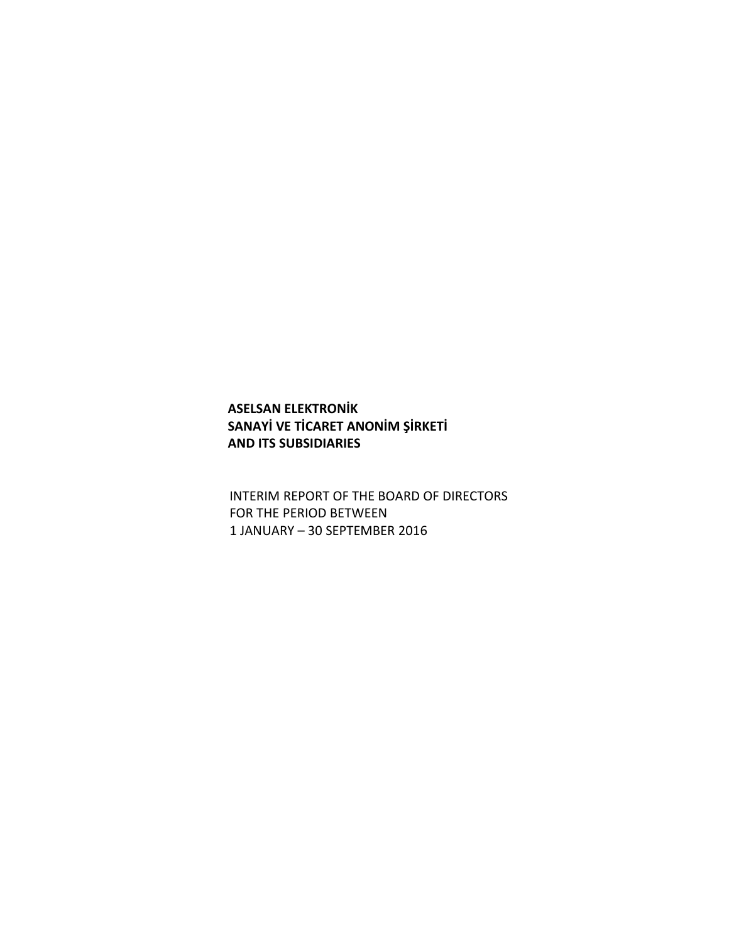# **ASELSAN ELEKTRONİK SANAYİ VE TİCARET ANONİM ŞİRKETİ AND ITS SUBSIDIARIES**

INTERIM REPORT OF THE BOARD OF DIRECTORS FOR THE PERIOD BETWEEN 1 JANUARY – 30 SEPTEMBER 2016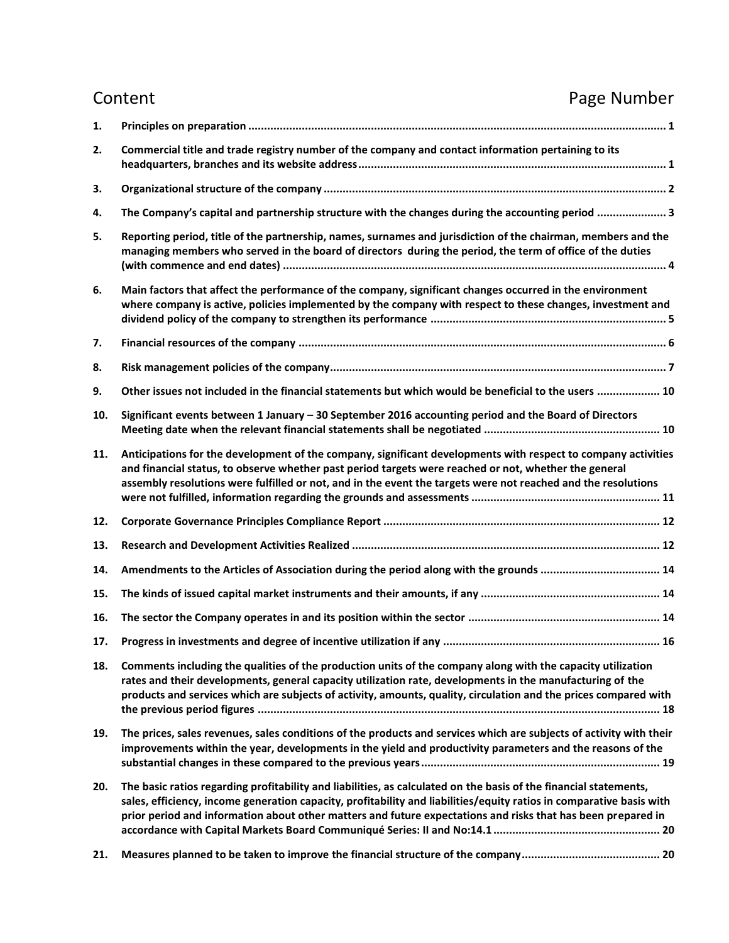# Content **Content Content Content**

| 1.  |                                                                                                                                                                                                                                                                                                                                                           |
|-----|-----------------------------------------------------------------------------------------------------------------------------------------------------------------------------------------------------------------------------------------------------------------------------------------------------------------------------------------------------------|
| 2.  | Commercial title and trade registry number of the company and contact information pertaining to its                                                                                                                                                                                                                                                       |
| 3.  |                                                                                                                                                                                                                                                                                                                                                           |
| 4.  | The Company's capital and partnership structure with the changes during the accounting period  3                                                                                                                                                                                                                                                          |
| 5.  | Reporting period, title of the partnership, names, surnames and jurisdiction of the chairman, members and the<br>managing members who served in the board of directors during the period, the term of office of the duties                                                                                                                                |
| 6.  | Main factors that affect the performance of the company, significant changes occurred in the environment<br>where company is active, policies implemented by the company with respect to these changes, investment and                                                                                                                                    |
| 7.  |                                                                                                                                                                                                                                                                                                                                                           |
| 8.  |                                                                                                                                                                                                                                                                                                                                                           |
| 9.  | Other issues not included in the financial statements but which would be beneficial to the users  10                                                                                                                                                                                                                                                      |
| 10. | Significant events between 1 January - 30 September 2016 accounting period and the Board of Directors                                                                                                                                                                                                                                                     |
| 11. | Anticipations for the development of the company, significant developments with respect to company activities<br>and financial status, to observe whether past period targets were reached or not, whether the general<br>assembly resolutions were fulfilled or not, and in the event the targets were not reached and the resolutions                   |
| 12. |                                                                                                                                                                                                                                                                                                                                                           |
| 13. |                                                                                                                                                                                                                                                                                                                                                           |
| 14. | Amendments to the Articles of Association during the period along with the grounds  14                                                                                                                                                                                                                                                                    |
| 15. |                                                                                                                                                                                                                                                                                                                                                           |
| 16. |                                                                                                                                                                                                                                                                                                                                                           |
| 17. |                                                                                                                                                                                                                                                                                                                                                           |
| 18. | Comments including the qualities of the production units of the company along with the capacity utilization<br>rates and their developments, general capacity utilization rate, developments in the manufacturing of the<br>products and services which are subjects of activity, amounts, quality, circulation and the prices compared with              |
| 19. | The prices, sales revenues, sales conditions of the products and services which are subjects of activity with their<br>improvements within the year, developments in the yield and productivity parameters and the reasons of the                                                                                                                         |
| 20. | The basic ratios regarding profitability and liabilities, as calculated on the basis of the financial statements,<br>sales, efficiency, income generation capacity, profitability and liabilities/equity ratios in comparative basis with<br>prior period and information about other matters and future expectations and risks that has been prepared in |
| 21. |                                                                                                                                                                                                                                                                                                                                                           |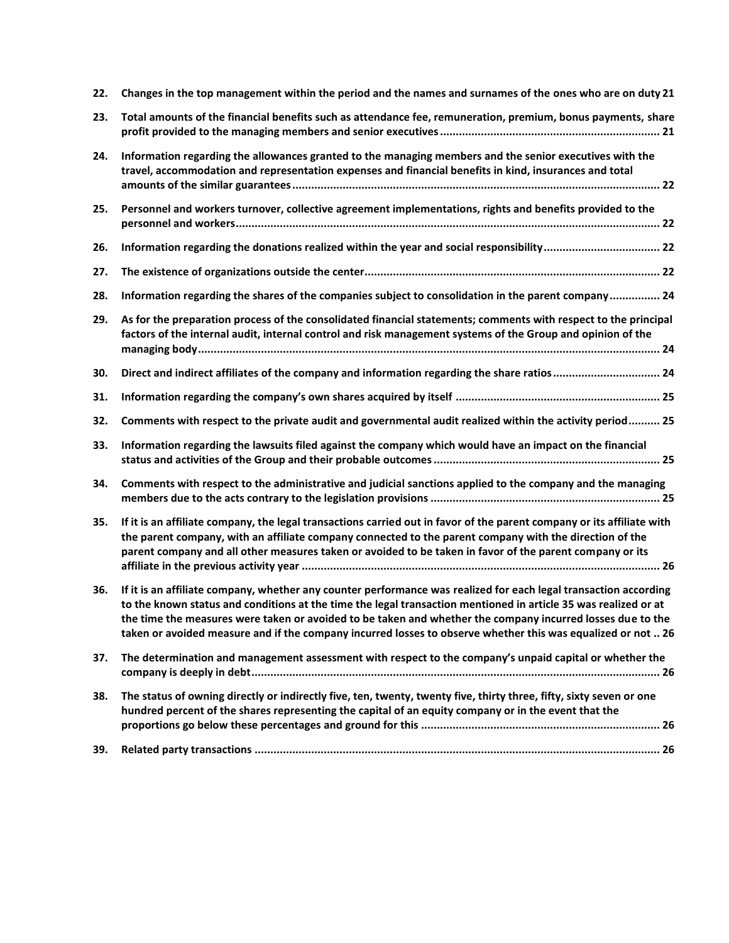| 22. | Changes in the top management within the period and the names and surnames of the ones who are on duty 21                                                                                                                                                                                                                                                                                                                                                         |
|-----|-------------------------------------------------------------------------------------------------------------------------------------------------------------------------------------------------------------------------------------------------------------------------------------------------------------------------------------------------------------------------------------------------------------------------------------------------------------------|
| 23. | Total amounts of the financial benefits such as attendance fee, remuneration, premium, bonus payments, share                                                                                                                                                                                                                                                                                                                                                      |
| 24. | Information regarding the allowances granted to the managing members and the senior executives with the<br>travel, accommodation and representation expenses and financial benefits in kind, insurances and total                                                                                                                                                                                                                                                 |
| 25. | Personnel and workers turnover, collective agreement implementations, rights and benefits provided to the                                                                                                                                                                                                                                                                                                                                                         |
| 26. |                                                                                                                                                                                                                                                                                                                                                                                                                                                                   |
| 27. |                                                                                                                                                                                                                                                                                                                                                                                                                                                                   |
| 28. | Information regarding the shares of the companies subject to consolidation in the parent company 24                                                                                                                                                                                                                                                                                                                                                               |
| 29. | As for the preparation process of the consolidated financial statements; comments with respect to the principal<br>factors of the internal audit, internal control and risk management systems of the Group and opinion of the                                                                                                                                                                                                                                    |
| 30. | Direct and indirect affiliates of the company and information regarding the share ratios 24                                                                                                                                                                                                                                                                                                                                                                       |
| 31. |                                                                                                                                                                                                                                                                                                                                                                                                                                                                   |
| 32. | Comments with respect to the private audit and governmental audit realized within the activity period 25                                                                                                                                                                                                                                                                                                                                                          |
| 33. | Information regarding the lawsuits filed against the company which would have an impact on the financial                                                                                                                                                                                                                                                                                                                                                          |
| 34. | Comments with respect to the administrative and judicial sanctions applied to the company and the managing                                                                                                                                                                                                                                                                                                                                                        |
| 35. | If it is an affiliate company, the legal transactions carried out in favor of the parent company or its affiliate with<br>the parent company, with an affiliate company connected to the parent company with the direction of the<br>parent company and all other measures taken or avoided to be taken in favor of the parent company or its                                                                                                                     |
| 36. | If it is an affiliate company, whether any counter performance was realized for each legal transaction according<br>to the known status and conditions at the time the legal transaction mentioned in article 35 was realized or at<br>the time the measures were taken or avoided to be taken and whether the company incurred losses due to the<br>taken or avoided measure and if the company incurred losses to observe whether this was equalized or not  26 |
| 37. | The determination and management assessment with respect to the company's unpaid capital or whether the                                                                                                                                                                                                                                                                                                                                                           |
| 38. | The status of owning directly or indirectly five, ten, twenty, twenty five, thirty three, fifty, sixty seven or one<br>hundred percent of the shares representing the capital of an equity company or in the event that the                                                                                                                                                                                                                                       |
| 39. |                                                                                                                                                                                                                                                                                                                                                                                                                                                                   |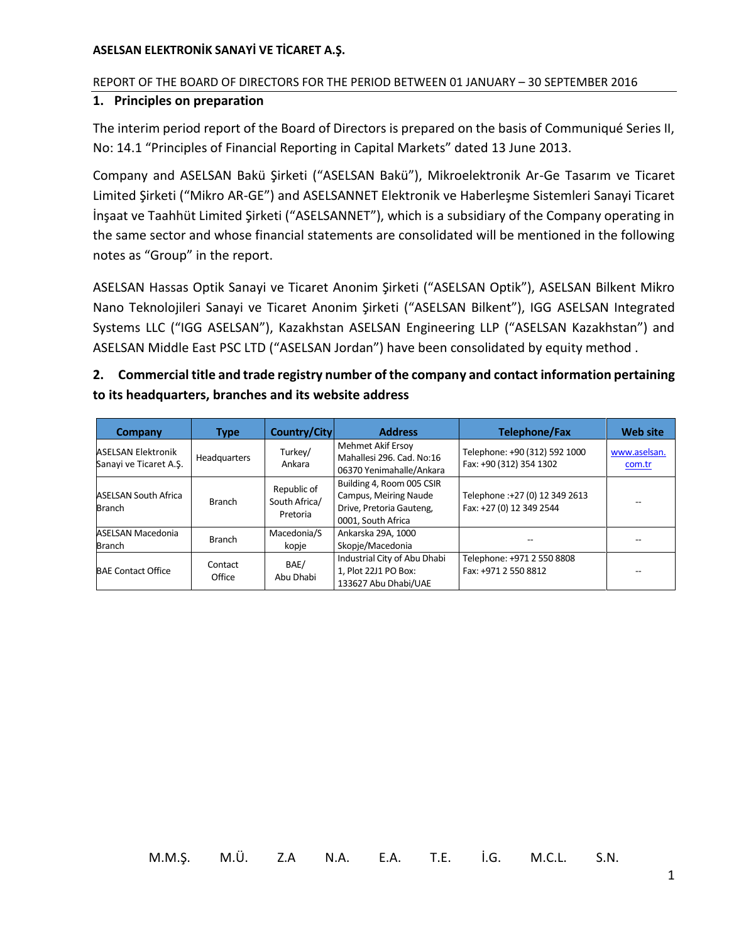# REPORT OF THE BOARD OF DIRECTORS FOR THE PERIOD BETWEEN 01 JANUARY – 30 SEPTEMBER 2016

# <span id="page-3-0"></span>**1. Principles on preparation**

The interim period report of the Board of Directors is prepared on the basis of Communiqué Series II, No: 14.1 "Principles of Financial Reporting in Capital Markets" dated 13 June 2013.

Company and ASELSAN Bakü Şirketi ("ASELSAN Bakü"), Mikroelektronik Ar-Ge Tasarım ve Ticaret Limited Şirketi ("Mikro AR-GE") and ASELSANNET Elektronik ve Haberleşme Sistemleri Sanayi Ticaret İnşaat ve Taahhüt Limited Şirketi ("ASELSANNET"), which is a subsidiary of the Company operating in the same sector and whose financial statements are consolidated will be mentioned in the following notes as "Group" in the report.

ASELSAN Hassas Optik Sanayi ve Ticaret Anonim Şirketi ("ASELSAN Optik"), ASELSAN Bilkent Mikro Nano Teknolojileri Sanayi ve Ticaret Anonim Şirketi ("ASELSAN Bilkent"), IGG ASELSAN Integrated Systems LLC ("IGG ASELSAN"), Kazakhstan ASELSAN Engineering LLP ("ASELSAN Kazakhstan") and ASELSAN Middle East PSC LTD ("ASELSAN Jordan") have been consolidated by equity method .

# <span id="page-3-1"></span>**2. Commercial title and trade registry number of the company and contact information pertaining to its headquarters, branches and its website address**

| Company                                             | <b>Type</b>       | Country/City                             | <b>Address</b>                                                                                       | <b>Telephone/Fax</b>                                       | <b>Web site</b>        |
|-----------------------------------------------------|-------------------|------------------------------------------|------------------------------------------------------------------------------------------------------|------------------------------------------------------------|------------------------|
| <b>ASELSAN Elektronik</b><br>Sanayi ve Ticaret A.S. | Headquarters      | Turkey/<br>Ankara                        | Mehmet Akif Ersoy<br>Mahallesi 296, Cad, No:16<br>06370 Yenimahalle/Ankara                           | Telephone: +90 (312) 592 1000<br>Fax: +90 (312) 354 1302   | www.aselsan.<br>com.tr |
| <b>ASELSAN South Africa</b><br><b>Branch</b>        | <b>Branch</b>     | Republic of<br>South Africa/<br>Pretoria | Building 4, Room 005 CSIR<br>Campus, Meiring Naude<br>Drive, Pretoria Gauteng,<br>0001, South Africa | Telephone :+27 (0) 12 349 2613<br>Fax: +27 (0) 12 349 2544 |                        |
| ASELSAN Macedonia<br><b>Branch</b>                  | <b>Branch</b>     | Macedonia/S<br>kopje                     | Ankarska 29A, 1000<br>Skopje/Macedonia                                                               |                                                            |                        |
| <b>BAE Contact Office</b>                           | Contact<br>Office | BAE/<br>Abu Dhabi                        | Industrial City of Abu Dhabi<br>1, Plot 22J1 PO Box:<br>133627 Abu Dhabi/UAE                         | Telephone: +971 2 550 8808<br>Fax: +971 2 550 8812         |                        |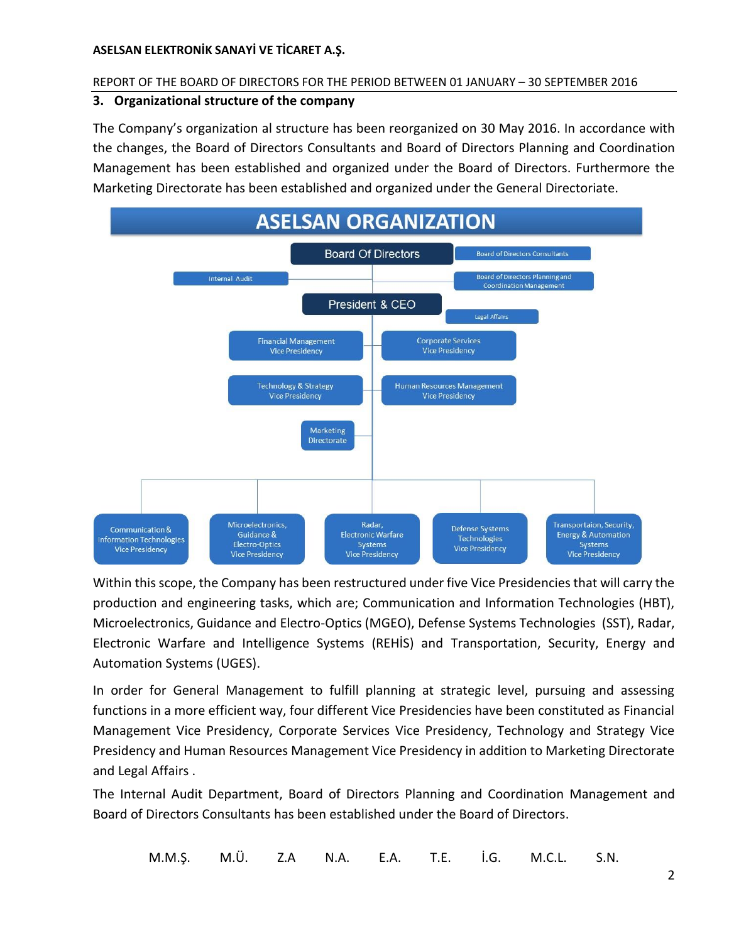### REPORT OF THE BOARD OF DIRECTORS FOR THE PERIOD BETWEEN 01 JANUARY – 30 SEPTEMBER 2016

# <span id="page-4-0"></span>**3. Organizational structure of the company**

The Company's organization al structure has been reorganized on 30 May 2016. In accordance with the changes, the Board of Directors Consultants and Board of Directors Planning and Coordination Management has been established and organized under the Board of Directors. Furthermore the Marketing Directorate has been established and organized under the General Directoriate.



Within this scope, the Company has been restructured under five Vice Presidencies that will carry the production and engineering tasks, which are; Communication and Information Technologies (HBT), Microelectronics, Guidance and Electro-Optics (MGEO), Defense Systems Technologies (SST), Radar, Electronic Warfare and Intelligence Systems (REHİS) and Transportation, Security, Energy and Automation Systems (UGES).

In order for General Management to fulfill planning at strategic level, pursuing and assessing functions in a more efficient way, four different Vice Presidencies have been constituted as Financial Management Vice Presidency, Corporate Services Vice Presidency, Technology and Strategy Vice Presidency and Human Resources Management Vice Presidency in addition to Marketing Directorate and Legal Affairs .

The Internal Audit Department, Board of Directors Planning and Coordination Management and Board of Directors Consultants has been established under the Board of Directors.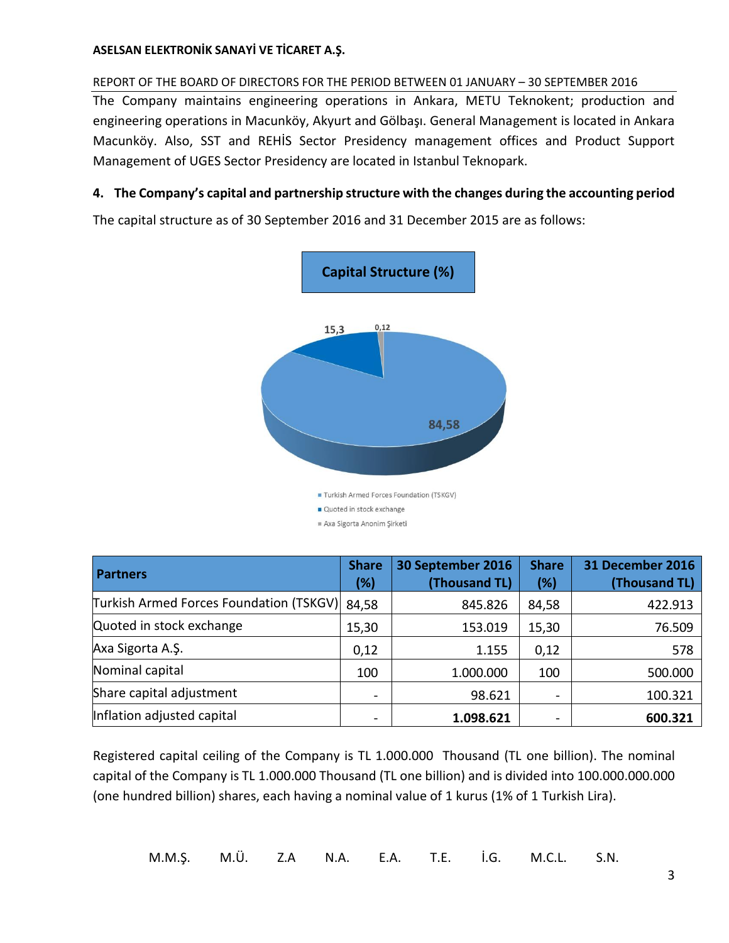# REPORT OF THE BOARD OF DIRECTORS FOR THE PERIOD BETWEEN 01 JANUARY – 30 SEPTEMBER 2016

The Company maintains engineering operations in Ankara, METU Teknokent; production and engineering operations in Macunköy, Akyurt and Gölbaşı. General Management is located in Ankara Macunköy. Also, SST and REHİS Sector Presidency management offices and Product Support Management of UGES Sector Presidency are located in Istanbul Teknopark.

# <span id="page-5-0"></span>**4. The Company's capital and partnership structure with the changes during the accounting period**

The capital structure as of 30 September 2016 and 31 December 2015 are as follows:



| <b>Partners</b>                         | <b>Share</b><br>(%) | 30 September 2016<br>(Thousand TL) | <b>Share</b><br>(%) | <b>31 December 2016</b><br>(Thousand TL) |
|-----------------------------------------|---------------------|------------------------------------|---------------------|------------------------------------------|
| Turkish Armed Forces Foundation (TSKGV) | 84,58               | 845.826                            | 84,58               | 422.913                                  |
| Quoted in stock exchange                | 15,30               | 153.019                            | 15,30               | 76.509                                   |
| Axa Sigorta A.Ş.                        | 0,12                | 1.155                              | 0,12                | 578                                      |
| Nominal capital                         | 100                 | 1.000.000                          | 100                 | 500.000                                  |
| Share capital adjustment                |                     | 98.621                             | $\qquad \qquad$     | 100.321                                  |
| Inflation adjusted capital              |                     | 1.098.621                          |                     | 600.321                                  |

Registered capital ceiling of the Company is TL 1.000.000 Thousand (TL one billion). The nominal capital of the Company is TL 1.000.000 Thousand (TL one billion) and is divided into 100.000.000.000 (one hundred billion) shares, each having a nominal value of 1 kurus (1% of 1 Turkish Lira).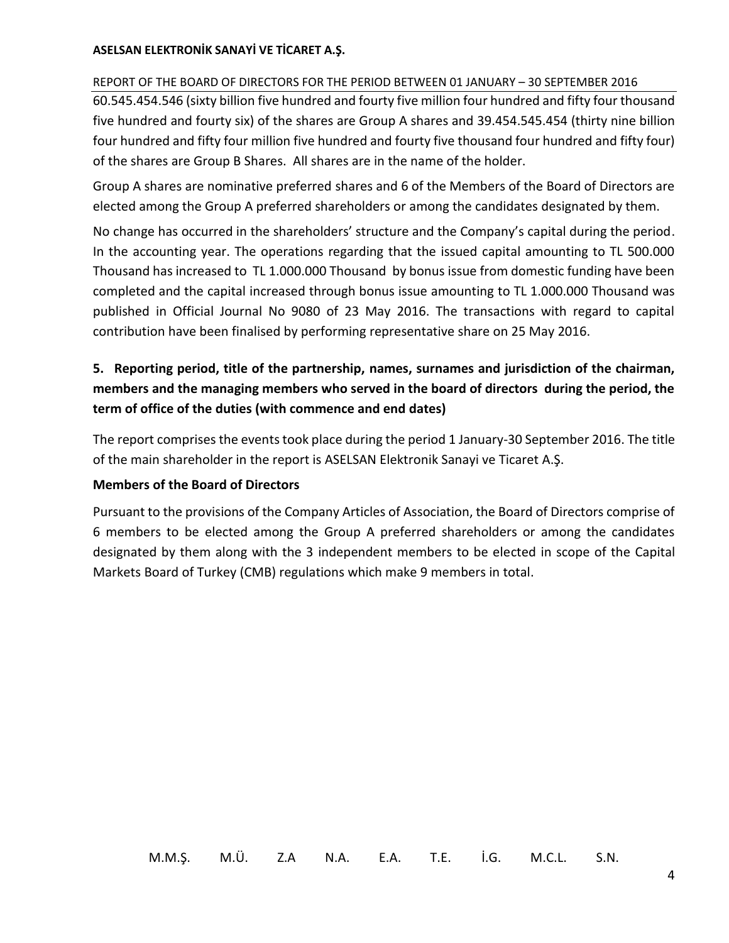# REPORT OF THE BOARD OF DIRECTORS FOR THE PERIOD BETWEEN 01 JANUARY – 30 SEPTEMBER 2016

60.545.454.546 (sixty billion five hundred and fourty five million four hundred and fifty four thousand five hundred and fourty six) of the shares are Group A shares and 39.454.545.454 (thirty nine billion four hundred and fifty four million five hundred and fourty five thousand four hundred and fifty four) of the shares are Group B Shares. All shares are in the name of the holder.

Group A shares are nominative preferred shares and 6 of the Members of the Board of Directors are elected among the Group A preferred shareholders or among the candidates designated by them.

No change has occurred in the shareholders' structure and the Company's capital during the period. In the accounting year. The operations regarding that the issued capital amounting to TL 500.000 Thousand has increased to TL 1.000.000 Thousand by bonus issue from domestic funding have been completed and the capital increased through bonus issue amounting to TL 1.000.000 Thousand was published in Official Journal No 9080 of 23 May 2016. The transactions with regard to capital contribution have been finalised by performing representative share on 25 May 2016.

# <span id="page-6-0"></span>**5. Reporting period, title of the partnership, names, surnames and jurisdiction of the chairman, members and the managing members who served in the board of directors during the period, the term of office of the duties (with commence and end dates)**

The report comprises the events took place during the period 1 January-30 September 2016. The title of the main shareholder in the report is ASELSAN Elektronik Sanayi ve Ticaret A.Ş.

# **Members of the Board of Directors**

Pursuant to the provisions of the Company Articles of Association, the Board of Directors comprise of 6 members to be elected among the Group A preferred shareholders or among the candidates designated by them along with the 3 independent members to be elected in scope of the Capital Markets Board of Turkey (CMB) regulations which make 9 members in total.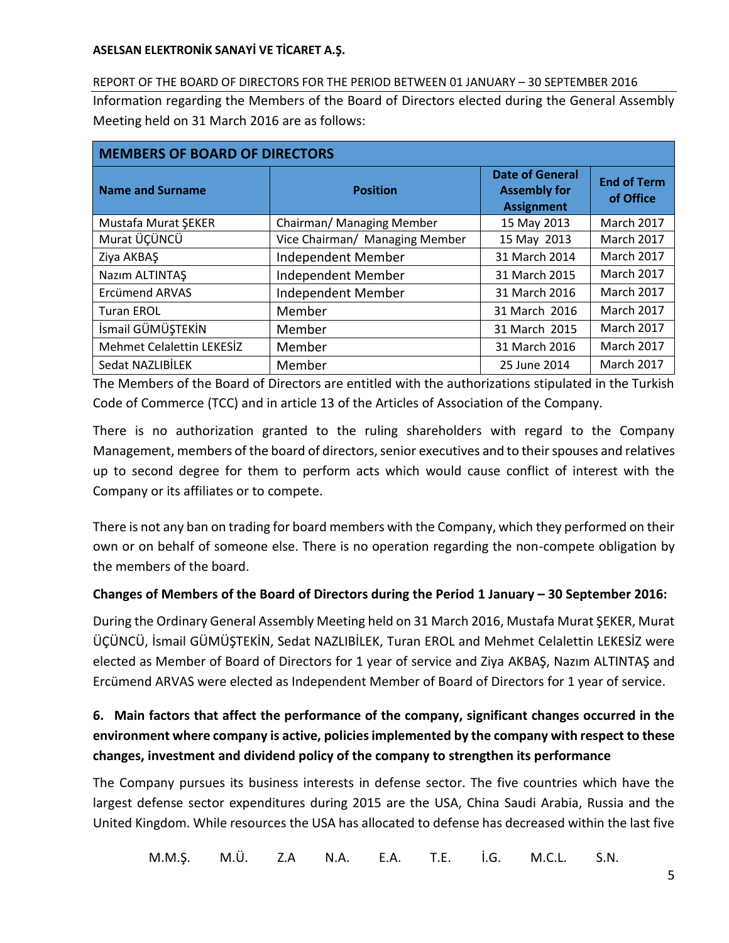REPORT OF THE BOARD OF DIRECTORS FOR THE PERIOD BETWEEN 01 JANUARY – 30 SEPTEMBER 2016 Information regarding the Members of the Board of Directors elected during the General Assembly Meeting held on 31 March 2016 are as follows:

| <b>MEMBERS OF BOARD OF DIRECTORS</b> |                                |                                                                    |                                 |  |  |  |
|--------------------------------------|--------------------------------|--------------------------------------------------------------------|---------------------------------|--|--|--|
| <b>Name and Surname</b>              | <b>Position</b>                | <b>Date of General</b><br><b>Assembly for</b><br><b>Assignment</b> | <b>End of Term</b><br>of Office |  |  |  |
| Mustafa Murat ŞEKER                  | Chairman/ Managing Member      | 15 May 2013                                                        | <b>March 2017</b>               |  |  |  |
| Murat ÜÇÜNCÜ                         | Vice Chairman/ Managing Member | 15 May 2013                                                        | <b>March 2017</b>               |  |  |  |
| Ziya AKBAŞ                           | Independent Member             | 31 March 2014                                                      | <b>March 2017</b>               |  |  |  |
| Nazım ALTINTAŞ                       | Independent Member             | 31 March 2015                                                      | <b>March 2017</b>               |  |  |  |
| <b>Ercümend ARVAS</b>                | Independent Member             | 31 March 2016                                                      | <b>March 2017</b>               |  |  |  |
| <b>Turan EROL</b>                    | Member                         | 31 March 2016                                                      | <b>March 2017</b>               |  |  |  |
| İsmail GÜMÜŞTEKİN                    | Member                         | 31 March 2015                                                      | March 2017                      |  |  |  |
| <b>Mehmet Celalettin LEKESİZ</b>     | Member                         | 31 March 2016                                                      | March 2017                      |  |  |  |
| Sedat NAZLIBİLEK                     | Member                         | 25 June 2014                                                       | <b>March 2017</b>               |  |  |  |

The Members of the Board of Directors are entitled with the authorizations stipulated in the Turkish Code of Commerce (TCC) and in article 13 of the Articles of Association of the Company.

There is no authorization granted to the ruling shareholders with regard to the Company Management, members of the board of directors, senior executives and to their spouses and relatives up to second degree for them to perform acts which would cause conflict of interest with the Company or its affiliates or to compete.

There is not any ban on trading for board members with the Company, which they performed on their own or on behalf of someone else. There is no operation regarding the non-compete obligation by the members of the board.

# **Changes of Members of the Board of Directors during the Period 1 January – 30 September 2016:**

During the Ordinary General Assembly Meeting held on 31 March 2016, Mustafa Murat ŞEKER, Murat ÜÇÜNCÜ, İsmail GÜMÜŞTEKİN, Sedat NAZLIBİLEK, Turan EROL and Mehmet Celalettin LEKESİZ were elected as Member of Board of Directors for 1 year of service and Ziya AKBAŞ, Nazım ALTINTAŞ and Ercümend ARVAS were elected as Independent Member of Board of Directors for 1 year of service.

# <span id="page-7-0"></span>**6. Main factors that affect the performance of the company, significant changes occurred in the environment where company is active, policies implemented by the company with respect to these changes, investment and dividend policy of the company to strengthen its performance**

The Company pursues its business interests in defense sector. The five countries which have the largest defense sector expenditures during 2015 are the USA, China Saudi Arabia, Russia and the United Kingdom. While resources the USA has allocated to defense has decreased within the last five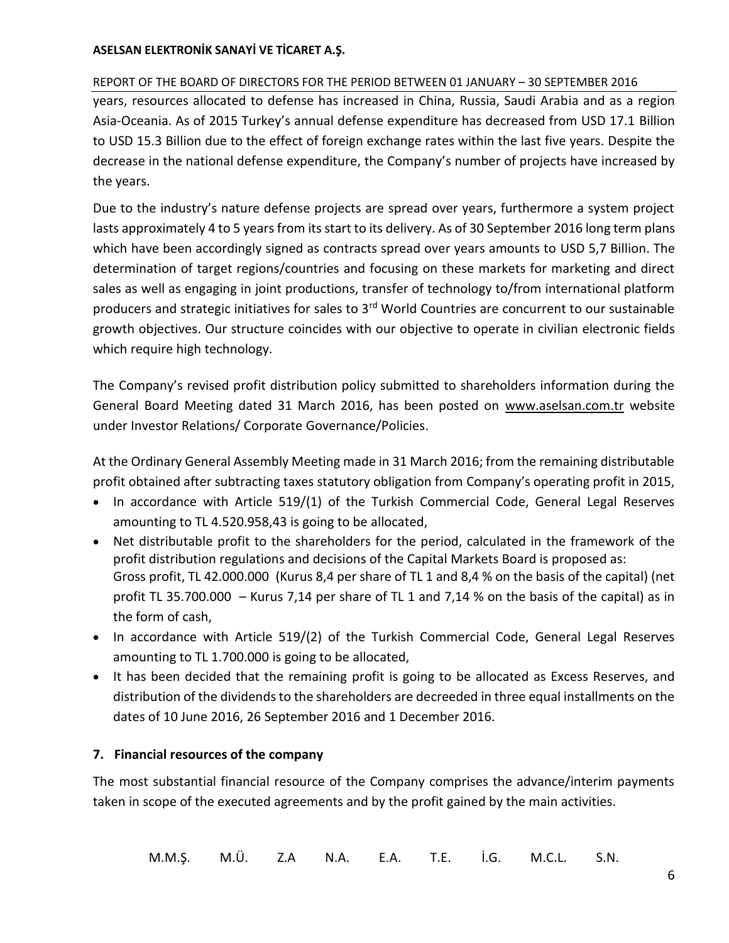# REPORT OF THE BOARD OF DIRECTORS FOR THE PERIOD BETWEEN 01 JANUARY – 30 SEPTEMBER 2016

years, resources allocated to defense has increased in China, Russia, Saudi Arabia and as a region Asia-Oceania. As of 2015 Turkey's annual defense expenditure has decreased from USD 17.1 Billion to USD 15.3 Billion due to the effect of foreign exchange rates within the last five years. Despite the decrease in the national defense expenditure, the Company's number of projects have increased by the years.

Due to the industry's nature defense projects are spread over years, furthermore a system project lasts approximately 4 to 5 years from its start to its delivery. As of 30 September 2016 long term plans which have been accordingly signed as contracts spread over years amounts to USD 5,7 Billion. The determination of target regions/countries and focusing on these markets for marketing and direct sales as well as engaging in joint productions, transfer of technology to/from international platform producers and strategic initiatives for sales to 3<sup>rd</sup> World Countries are concurrent to our sustainable growth objectives. Our structure coincides with our objective to operate in civilian electronic fields which require high technology.

The Company's revised profit distribution policy submitted to shareholders information during the General Board Meeting dated 31 March 2016, has been posted on [www.aselsan.com.tr](http://www.aselsan.com.tr/) website under Investor Relations/ Corporate Governance/Policies.

At the Ordinary General Assembly Meeting made in 31 March 2016; from the remaining distributable profit obtained after subtracting taxes statutory obligation from Company's operating profit in 2015,

- In accordance with Article 519/(1) of the Turkish Commercial Code, General Legal Reserves amounting to TL 4.520.958,43 is going to be allocated,
- Net distributable profit to the shareholders for the period, calculated in the framework of the profit distribution regulations and decisions of the Capital Markets Board is proposed as: Gross profit, TL 42.000.000 (Kurus 8,4 per share of TL 1 and 8,4 % on the basis of the capital) (net profit TL 35.700.000 – Kurus 7,14 per share of TL 1 and 7,14 % on the basis of the capital) as in the form of cash,
- In accordance with Article 519/(2) of the Turkish Commercial Code, General Legal Reserves amounting to TL 1.700.000 is going to be allocated,
- It has been decided that the remaining profit is going to be allocated as Excess Reserves, and distribution of the dividends to the shareholders are decreeded in three equal installments on the dates of 10 June 2016, 26 September 2016 and 1 December 2016.

# <span id="page-8-0"></span>**7. Financial resources of the company**

The most substantial financial resource of the Company comprises the advance/interim payments taken in scope of the executed agreements and by the profit gained by the main activities.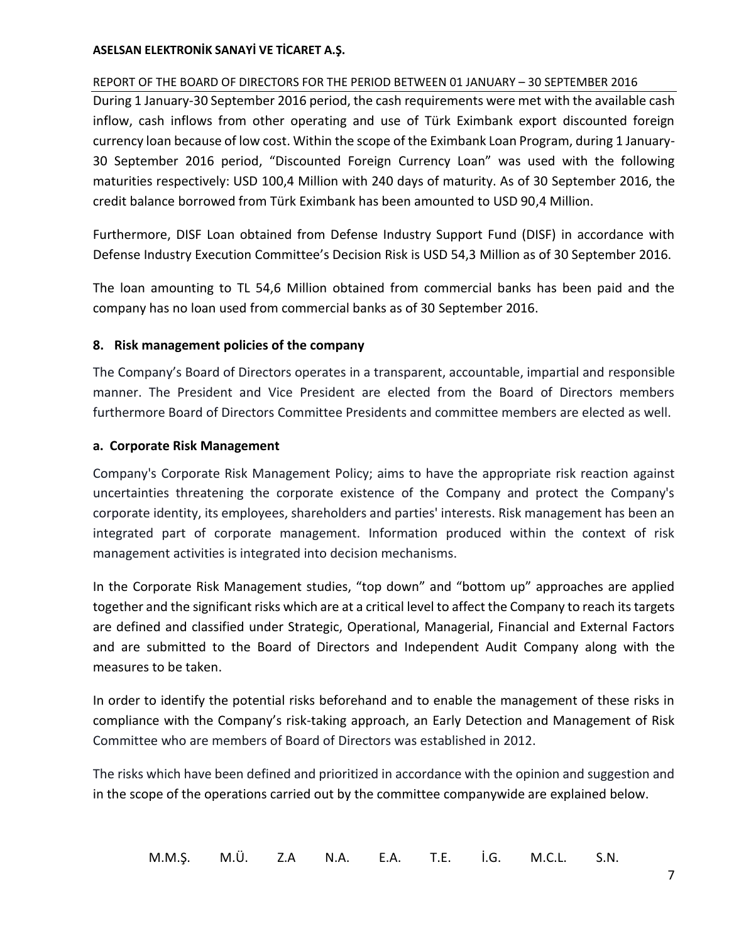# REPORT OF THE BOARD OF DIRECTORS FOR THE PERIOD BETWEEN 01 JANUARY – 30 SEPTEMBER 2016

During 1 January-30 September 2016 period, the cash requirements were met with the available cash inflow, cash inflows from other operating and use of Türk Eximbank export discounted foreign currency loan because of low cost. Within the scope of the Eximbank Loan Program, during 1 January-30 September 2016 period, "Discounted Foreign Currency Loan" was used with the following maturities respectively: USD 100,4 Million with 240 days of maturity. As of 30 September 2016, the credit balance borrowed from Türk Eximbank has been amounted to USD 90,4 Million.

Furthermore, DISF Loan obtained from Defense Industry Support Fund (DISF) in accordance with Defense Industry Execution Committee's Decision Risk is USD 54,3 Million as of 30 September 2016.

The loan amounting to TL 54,6 Million obtained from commercial banks has been paid and the company has no loan used from commercial banks as of 30 September 2016.

# <span id="page-9-0"></span>**8. Risk management policies of the company**

The Company's Board of Directors operates in a transparent, accountable, impartial and responsible manner. The President and Vice President are elected from the Board of Directors members furthermore Board of Directors Committee Presidents and committee members are elected as well.

# **a. Corporate Risk Management**

Company's Corporate Risk Management Policy; aims to have the appropriate risk reaction against uncertainties threatening the corporate existence of the Company and protect the Company's corporate identity, its employees, shareholders and parties' interests. Risk management has been an integrated part of corporate management. Information produced within the context of risk management activities is integrated into decision mechanisms.

In the Corporate Risk Management studies, "top down" and "bottom up" approaches are applied together and the significant risks which are at a critical level to affect the Company to reach its targets are defined and classified under Strategic, Operational, Managerial, Financial and External Factors and are submitted to the Board of Directors and Independent Audit Company along with the measures to be taken.

In order to identify the potential risks beforehand and to enable the management of these risks in compliance with the Company's risk-taking approach, an Early Detection and Management of Risk Committee who are members of Board of Directors was established in 2012.

The risks which have been defined and prioritized in accordance with the opinion and suggestion and in the scope of the operations carried out by the committee companywide are explained below.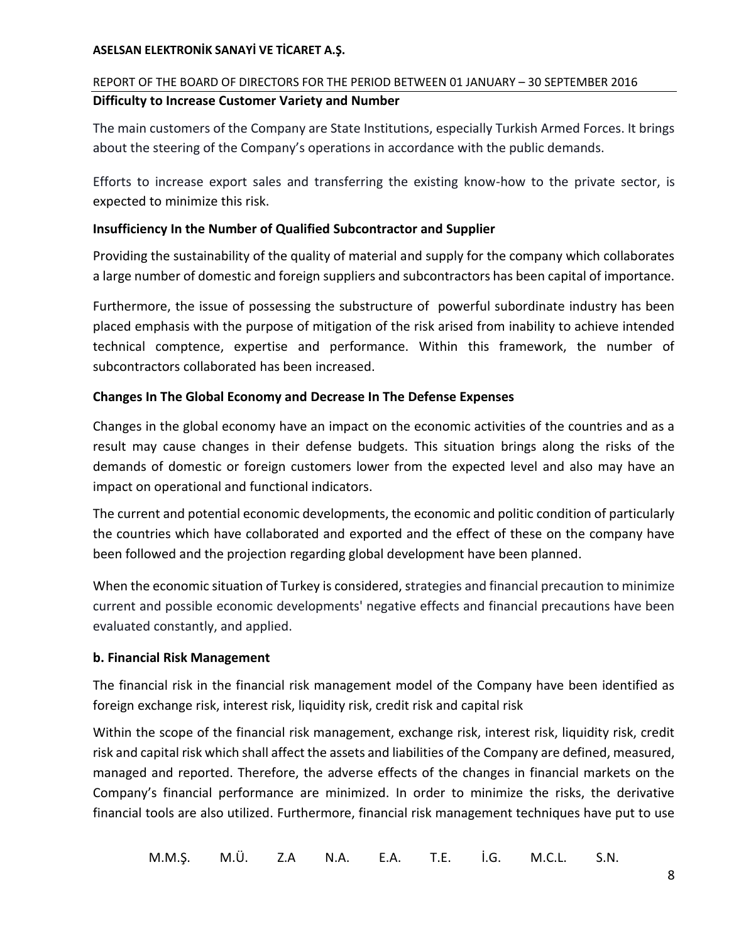# REPORT OF THE BOARD OF DIRECTORS FOR THE PERIOD BETWEEN 01 JANUARY – 30 SEPTEMBER 2016 **Difficulty to Increase Customer Variety and Number**

The main customers of the Company are State Institutions, especially Turkish Armed Forces. It brings about the steering of the Company's operations in accordance with the public demands.

Efforts to increase export sales and transferring the existing know-how to the private sector, is expected to minimize this risk.

# **Insufficiency In the Number of Qualified Subcontractor and Supplier**

Providing the sustainability of the quality of material and supply for the company which collaborates a large number of domestic and foreign suppliers and subcontractors has been capital of importance.

Furthermore, the issue of possessing the substructure of powerful subordinate industry has been placed emphasis with the purpose of mitigation of the risk arised from inability to achieve intended technical comptence, expertise and performance. Within this framework, the number of subcontractors collaborated has been increased.

# **Changes In The Global Economy and Decrease In The Defense Expenses**

Changes in the global economy have an impact on the economic activities of the countries and as a result may cause changes in their defense budgets. This situation brings along the risks of the demands of domestic or foreign customers lower from the expected level and also may have an impact on operational and functional indicators.

The current and potential economic developments, the economic and politic condition of particularly the countries which have collaborated and exported and the effect of these on the company have been followed and the projection regarding global development have been planned.

When the economic situation of Turkey is considered, strategies and financial precaution to minimize current and possible economic developments' negative effects and financial precautions have been evaluated constantly, and applied.

# **b. Financial Risk Management**

The financial risk in the financial risk management model of the Company have been identified as foreign exchange risk, interest risk, liquidity risk, credit risk and capital risk

Within the scope of the financial risk management, exchange risk, interest risk, liquidity risk, credit risk and capital risk which shall affect the assets and liabilities of the Company are defined, measured, managed and reported. Therefore, the adverse effects of the changes in financial markets on the Company's financial performance are minimized. In order to minimize the risks, the derivative financial tools are also utilized. Furthermore, financial risk management techniques have put to use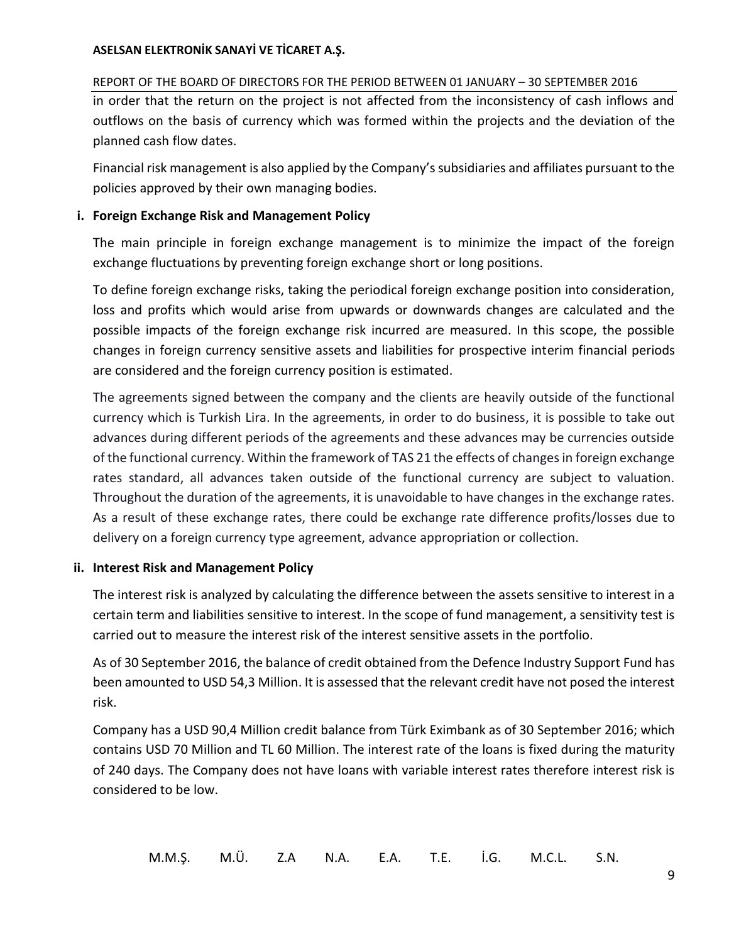# REPORT OF THE BOARD OF DIRECTORS FOR THE PERIOD BETWEEN 01 JANUARY – 30 SEPTEMBER 2016

in order that the return on the project is not affected from the inconsistency of cash inflows and outflows on the basis of currency which was formed within the projects and the deviation of the planned cash flow dates.

Financial risk management is also applied by the Company's subsidiaries and affiliates pursuant to the policies approved by their own managing bodies.

# **i. Foreign Exchange Risk and Management Policy**

The main principle in foreign exchange management is to minimize the impact of the foreign exchange fluctuations by preventing foreign exchange short or long positions.

To define foreign exchange risks, taking the periodical foreign exchange position into consideration, loss and profits which would arise from upwards or downwards changes are calculated and the possible impacts of the foreign exchange risk incurred are measured. In this scope, the possible changes in foreign currency sensitive assets and liabilities for prospective interim financial periods are considered and the foreign currency position is estimated.

The agreements signed between the company and the clients are heavily outside of the functional currency which is Turkish Lira. In the agreements, in order to do business, it is possible to take out advances during different periods of the agreements and these advances may be currencies outside of the functional currency. Within the framework of TAS 21 the effects of changes in foreign exchange rates standard, all advances taken outside of the functional currency are subject to valuation. Throughout the duration of the agreements, it is unavoidable to have changes in the exchange rates. As a result of these exchange rates, there could be exchange rate difference profits/losses due to delivery on a foreign currency type agreement, advance appropriation or collection.

# **ii. Interest Risk and Management Policy**

The interest risk is analyzed by calculating the difference between the assets sensitive to interest in a certain term and liabilities sensitive to interest. In the scope of fund management, a sensitivity test is carried out to measure the interest risk of the interest sensitive assets in the portfolio.

As of 30 September 2016, the balance of credit obtained from the Defence Industry Support Fund has been amounted to USD 54,3 Million. It is assessed that the relevant credit have not posed the interest risk.

Company has a USD 90,4 Million credit balance from Türk Eximbank as of 30 September 2016; which contains USD 70 Million and TL 60 Million. The interest rate of the loans is fixed during the maturity of 240 days. The Company does not have loans with variable interest rates therefore interest risk is considered to be low.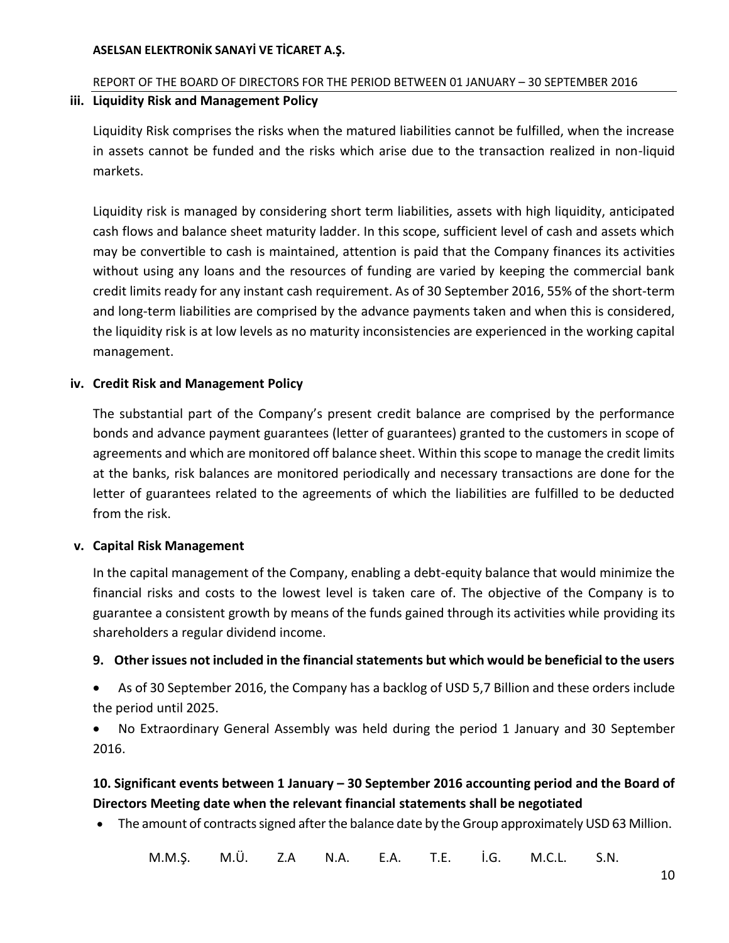# REPORT OF THE BOARD OF DIRECTORS FOR THE PERIOD BETWEEN 01 JANUARY – 30 SEPTEMBER 2016

# **iii. Liquidity Risk and Management Policy**

Liquidity Risk comprises the risks when the matured liabilities cannot be fulfilled, when the increase in assets cannot be funded and the risks which arise due to the transaction realized in non-liquid markets.

Liquidity risk is managed by considering short term liabilities, assets with high liquidity, anticipated cash flows and balance sheet maturity ladder. In this scope, sufficient level of cash and assets which may be convertible to cash is maintained, attention is paid that the Company finances its activities without using any loans and the resources of funding are varied by keeping the commercial bank credit limits ready for any instant cash requirement. As of 30 September 2016, 55% of the short-term and long-term liabilities are comprised by the advance payments taken and when this is considered, the liquidity risk is at low levels as no maturity inconsistencies are experienced in the working capital management.

# **iv. Credit Risk and Management Policy**

The substantial part of the Company's present credit balance are comprised by the performance bonds and advance payment guarantees (letter of guarantees) granted to the customers in scope of agreements and which are monitored off balance sheet. Within this scope to manage the credit limits at the banks, risk balances are monitored periodically and necessary transactions are done for the letter of guarantees related to the agreements of which the liabilities are fulfilled to be deducted from the risk.

# **v. Capital Risk Management**

In the capital management of the Company, enabling a debt-equity balance that would minimize the financial risks and costs to the lowest level is taken care of. The objective of the Company is to guarantee a consistent growth by means of the funds gained through its activities while providing its shareholders a regular dividend income.

# <span id="page-12-0"></span>**9. Other issues not included in the financial statements but which would be beneficial to the users**

 As of 30 September 2016, the Company has a backlog of USD 5,7 Billion and these orders include the period until 2025.

 No Extraordinary General Assembly was held during the period 1 January and 30 September 2016.

# <span id="page-12-1"></span>**10. Significant events between 1 January – 30 September 2016 accounting period and the Board of Directors Meeting date when the relevant financial statements shall be negotiated**

The amount of contracts signed after the balance date by the Group approximately USD 63 Million.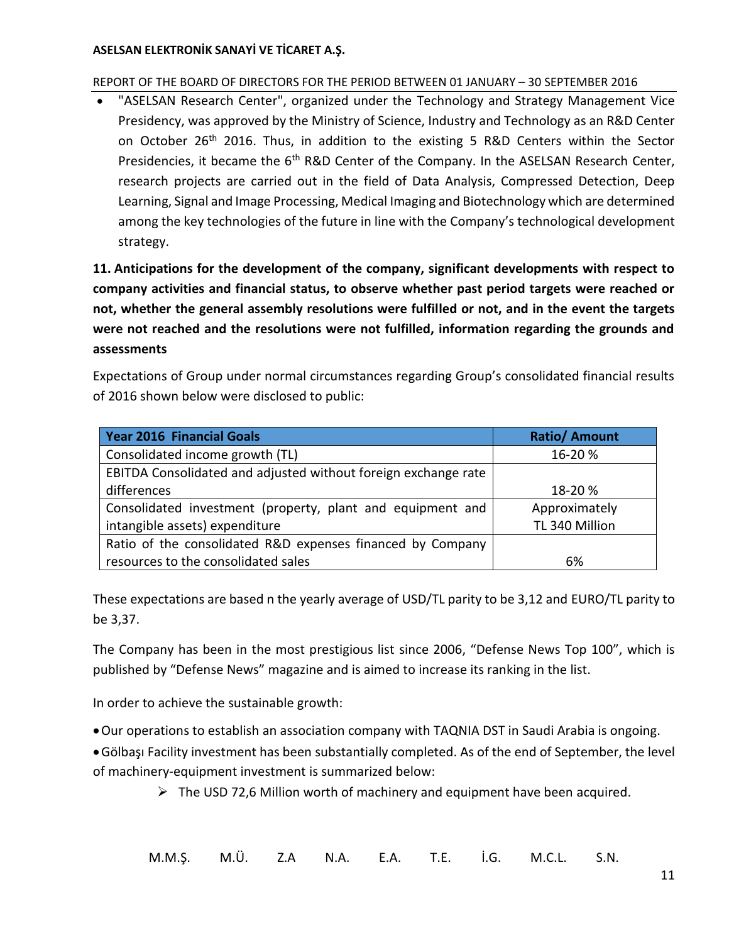# REPORT OF THE BOARD OF DIRECTORS FOR THE PERIOD BETWEEN 01 JANUARY – 30 SEPTEMBER 2016

 "ASELSAN Research Center", organized under the Technology and Strategy Management Vice Presidency, was approved by the Ministry of Science, Industry and Technology as an R&D Center on October 26<sup>th</sup> 2016. Thus, in addition to the existing 5 R&D Centers within the Sector Presidencies, it became the 6<sup>th</sup> R&D Center of the Company. In the ASELSAN Research Center, research projects are carried out in the field of Data Analysis, Compressed Detection, Deep Learning, Signal and Image Processing, Medical Imaging and Biotechnology which are determined among the key technologies of the future in line with the Company's technological development strategy.

<span id="page-13-0"></span>**11. Anticipations for the development of the company, significant developments with respect to company activities and financial status, to observe whether past period targets were reached or not, whether the general assembly resolutions were fulfilled or not, and in the event the targets were not reached and the resolutions were not fulfilled, information regarding the grounds and assessments**

Expectations of Group under normal circumstances regarding Group's consolidated financial results of 2016 shown below were disclosed to public:

| <b>Year 2016 Financial Goals</b>                               | <b>Ratio/Amount</b> |
|----------------------------------------------------------------|---------------------|
| Consolidated income growth (TL)                                | 16-20 %             |
| EBITDA Consolidated and adjusted without foreign exchange rate |                     |
| differences                                                    | 18-20 %             |
| Consolidated investment (property, plant and equipment and     | Approximately       |
| intangible assets) expenditure                                 | TL 340 Million      |
| Ratio of the consolidated R&D expenses financed by Company     |                     |
| resources to the consolidated sales                            | 6%                  |

These expectations are based n the yearly average of USD/TL parity to be 3,12 and EURO/TL parity to be 3,37.

The Company has been in the most prestigious list since 2006, "Defense News Top 100", which is published by "Defense News" magazine and is aimed to increase its ranking in the list.

In order to achieve the sustainable growth:

Our operations to establish an association company with TAQNIA DST in Saudi Arabia is ongoing.

Gölbaşı Facility investment has been substantially completed. As of the end of September, the level of machinery-equipment investment is summarized below:

 $\triangleright$  The USD 72,6 Million worth of machinery and equipment have been acquired.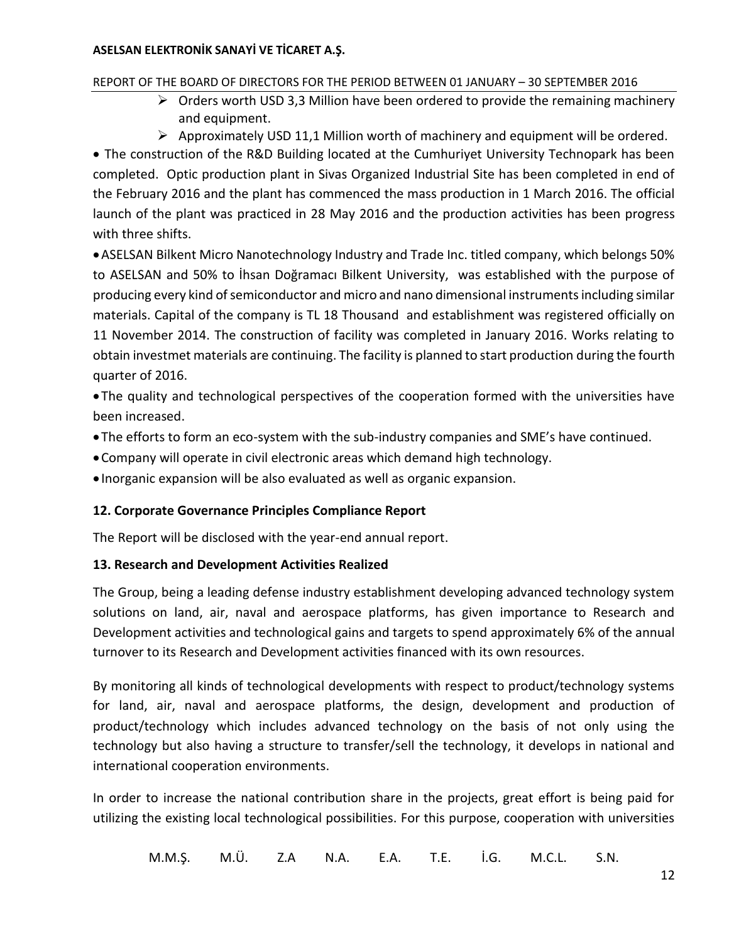# REPORT OF THE BOARD OF DIRECTORS FOR THE PERIOD BETWEEN 01 JANUARY – 30 SEPTEMBER 2016

- $\triangleright$  Orders worth USD 3,3 Million have been ordered to provide the remaining machinery and equipment.
- $\triangleright$  Approximately USD 11,1 Million worth of machinery and equipment will be ordered.

• The construction of the R&D Building located at the Cumhuriyet University Technopark has been completed. Optic production plant in Sivas Organized Industrial Site has been completed in end of the February 2016 and the plant has commenced the mass production in 1 March 2016. The official launch of the plant was practiced in 28 May 2016 and the production activities has been progress with three shifts.

ASELSAN Bilkent Micro Nanotechnology Industry and Trade Inc. titled company, which belongs 50% to ASELSAN and 50% to İhsan Doğramacı Bilkent University, was established with the purpose of producing every kind of semiconductor and micro and nano dimensional instruments including similar materials. Capital of the company is TL 18 Thousand and establishment was registered officially on 11 November 2014. The construction of facility was completed in January 2016. Works relating to obtain investmet materials are continuing. The facility is planned to start production during the fourth quarter of 2016.

 The quality and technological perspectives of the cooperation formed with the universities have been increased.

- The efforts to form an eco-system with the sub-industry companies and SME's have continued.
- Company will operate in civil electronic areas which demand high technology.
- Inorganic expansion will be also evaluated as well as organic expansion.

# <span id="page-14-0"></span>**12. Corporate Governance Principles Compliance Report**

The Report will be disclosed with the year-end annual report.

# <span id="page-14-1"></span>**13. Research and Development Activities Realized**

The Group, being a leading defense industry establishment developing advanced technology system solutions on land, air, naval and aerospace platforms, has given importance to Research and Development activities and technological gains and targets to spend approximately 6% of the annual turnover to its Research and Development activities financed with its own resources.

By monitoring all kinds of technological developments with respect to product/technology systems for land, air, naval and aerospace platforms, the design, development and production of product/technology which includes advanced technology on the basis of not only using the technology but also having a structure to transfer/sell the technology, it develops in national and international cooperation environments.

In order to increase the national contribution share in the projects, great effort is being paid for utilizing the existing local technological possibilities. For this purpose, cooperation with universities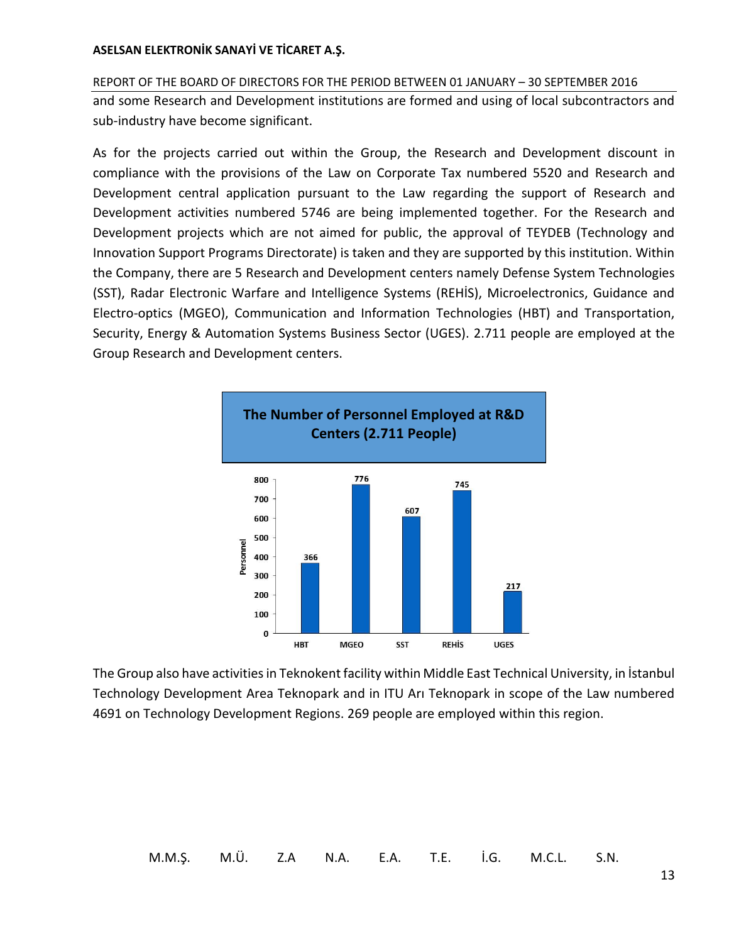REPORT OF THE BOARD OF DIRECTORS FOR THE PERIOD BETWEEN 01 JANUARY – 30 SEPTEMBER 2016 and some Research and Development institutions are formed and using of local subcontractors and sub-industry have become significant.

As for the projects carried out within the Group, the Research and Development discount in compliance with the provisions of the Law on Corporate Tax numbered 5520 and Research and Development central application pursuant to the Law regarding the support of Research and Development activities numbered 5746 are being implemented together. For the Research and Development projects which are not aimed for public, the approval of TEYDEB (Technology and Innovation Support Programs Directorate) is taken and they are supported by this institution. Within the Company, there are 5 Research and Development centers namely Defense System Technologies (SST), Radar Electronic Warfare and Intelligence Systems (REHİS), Microelectronics, Guidance and Electro-optics (MGEO), Communication and Information Technologies (HBT) and Transportation, Security, Energy & Automation Systems Business Sector (UGES). 2.711 people are employed at the Group Research and Development centers.



The Group also have activities in Teknokent facility within Middle East Technical University, in İstanbul Technology Development Area Teknopark and in ITU Arı Teknopark in scope of the Law numbered 4691 on Technology Development Regions. 269 people are employed within this region.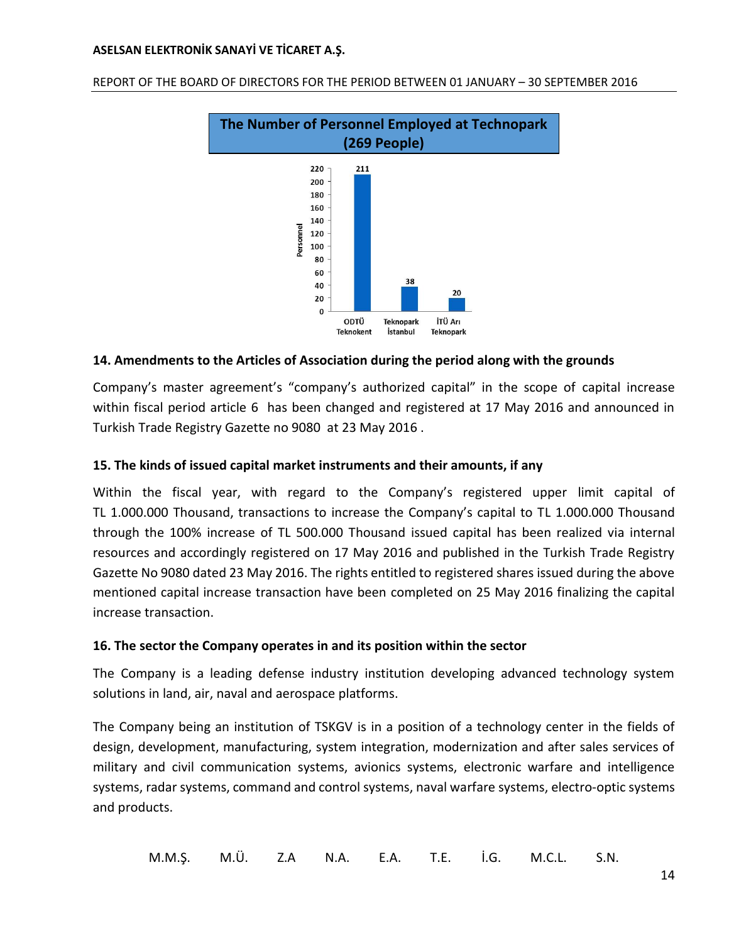

REPORT OF THE BOARD OF DIRECTORS FOR THE PERIOD BETWEEN 01 JANUARY – 30 SEPTEMBER 2016

# <span id="page-16-0"></span>**14. Amendments to the Articles of Association during the period along with the grounds**

Company's master agreement's "company's authorized capital" in the scope of capital increase within fiscal period article 6 has been changed and registered at 17 May 2016 and announced in Turkish Trade Registry Gazette no 9080 at 23 May 2016 .

### <span id="page-16-1"></span>**15. The kinds of issued capital market instruments and their amounts, if any**

Within the fiscal year, with regard to the Company's registered upper limit capital of TL 1.000.000 Thousand, transactions to increase the Company's capital to TL 1.000.000 Thousand through the 100% increase of TL 500.000 Thousand issued capital has been realized via internal resources and accordingly registered on 17 May 2016 and published in the Turkish Trade Registry Gazette No 9080 dated 23 May 2016. The rights entitled to registered shares issued during the above mentioned capital increase transaction have been completed on 25 May 2016 finalizing the capital increase transaction.

#### <span id="page-16-2"></span>**16. The sector the Company operates in and its position within the sector**

The Company is a leading defense industry institution developing advanced technology system solutions in land, air, naval and aerospace platforms.

The Company being an institution of TSKGV is in a position of a technology center in the fields of design, development, manufacturing, system integration, modernization and after sales services of military and civil communication systems, avionics systems, electronic warfare and intelligence systems, radar systems, command and control systems, naval warfare systems, electro-optic systems and products.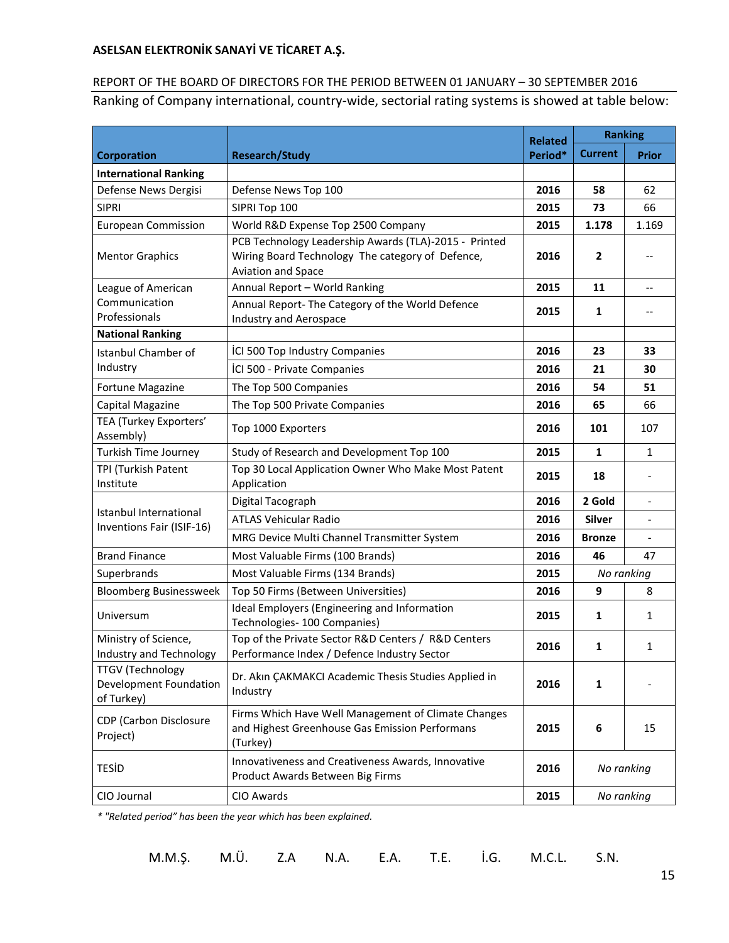# REPORT OF THE BOARD OF DIRECTORS FOR THE PERIOD BETWEEN 01 JANUARY – 30 SEPTEMBER 2016 Ranking of Company international, country-wide, sectorial rating systems is showed at table below:

|                                                                 | <b>Research/Study</b>                                                                                                           |      | <b>Ranking</b> |                                                     |
|-----------------------------------------------------------------|---------------------------------------------------------------------------------------------------------------------------------|------|----------------|-----------------------------------------------------|
| <b>Corporation</b>                                              |                                                                                                                                 |      | <b>Current</b> | <b>Prior</b>                                        |
| <b>International Ranking</b>                                    |                                                                                                                                 |      |                |                                                     |
| Defense News Dergisi                                            | Defense News Top 100                                                                                                            | 2016 | 58             | 62                                                  |
| <b>SIPRI</b>                                                    | SIPRI Top 100                                                                                                                   | 2015 | 73             | 66                                                  |
| <b>European Commission</b>                                      | World R&D Expense Top 2500 Company                                                                                              | 2015 | 1.178          | 1.169                                               |
| <b>Mentor Graphics</b>                                          | PCB Technology Leadership Awards (TLA)-2015 - Printed<br>Wiring Board Technology The category of Defence,<br>Aviation and Space | 2016 | $\mathbf{2}$   | $\hspace{0.05cm}$ $\hspace{0.05cm}$                 |
| League of American                                              | Annual Report - World Ranking                                                                                                   | 2015 | 11             | $\overline{\phantom{a}}$                            |
| Communication<br>Professionals                                  | Annual Report- The Category of the World Defence<br>Industry and Aerospace                                                      | 2015 | 1              | $\hspace{0.05cm} -\hspace{0.05cm} -\hspace{0.05cm}$ |
| <b>National Ranking</b>                                         |                                                                                                                                 |      |                |                                                     |
| Istanbul Chamber of                                             | ICI 500 Top Industry Companies                                                                                                  | 2016 | 23             | 33                                                  |
| Industry                                                        | ICI 500 - Private Companies                                                                                                     | 2016 | 21             | 30                                                  |
| Fortune Magazine                                                | The Top 500 Companies                                                                                                           | 2016 | 54             | 51                                                  |
| Capital Magazine                                                | The Top 500 Private Companies                                                                                                   | 2016 | 65             | 66                                                  |
| TEA (Turkey Exporters'<br>Assembly)                             | Top 1000 Exporters                                                                                                              | 2016 | 101            | 107                                                 |
| Turkish Time Journey                                            | Study of Research and Development Top 100                                                                                       | 2015 | $\mathbf{1}$   | $\mathbf{1}$                                        |
| TPI (Turkish Patent<br>Institute                                | Top 30 Local Application Owner Who Make Most Patent<br>Application                                                              | 2015 | 18             |                                                     |
|                                                                 | Digital Tacograph                                                                                                               | 2016 | 2 Gold         | $\overline{\phantom{a}}$                            |
| Istanbul International<br>Inventions Fair (ISIF-16)             | <b>ATLAS Vehicular Radio</b>                                                                                                    | 2016 | Silver         |                                                     |
|                                                                 | MRG Device Multi Channel Transmitter System                                                                                     | 2016 | <b>Bronze</b>  |                                                     |
| <b>Brand Finance</b>                                            | Most Valuable Firms (100 Brands)                                                                                                | 2016 | 46             | 47                                                  |
| Superbrands                                                     | Most Valuable Firms (134 Brands)                                                                                                | 2015 | No ranking     |                                                     |
| <b>Bloomberg Businessweek</b>                                   | Top 50 Firms (Between Universities)                                                                                             | 2016 | 9              | 8                                                   |
| Universum                                                       | Ideal Employers (Engineering and Information<br>Technologies- 100 Companies)                                                    | 2015 | 1              | 1                                                   |
| Ministry of Science,<br>Industry and Technology                 | Top of the Private Sector R&D Centers / R&D Centers<br>Performance Index / Defence Industry Sector                              | 2016 | 1              | $\mathbf{1}$                                        |
| <b>TTGV (Technology</b><br>Development Foundation<br>of Turkey) | Dr. Akın ÇAKMAKCI Academic Thesis Studies Applied in<br>Industry                                                                | 2016 | 1              |                                                     |
| CDP (Carbon Disclosure<br>Project)                              | Firms Which Have Well Management of Climate Changes<br>and Highest Greenhouse Gas Emission Performans<br>(Turkey)               | 2015 | 6              | 15                                                  |
| <b>TESID</b>                                                    | Innovativeness and Creativeness Awards, Innovative<br>Product Awards Between Big Firms                                          | 2016 | No ranking     |                                                     |
| CIO Journal                                                     | CIO Awards                                                                                                                      | 2015 | No ranking     |                                                     |

*\* "Related period" has been the year which has been explained.*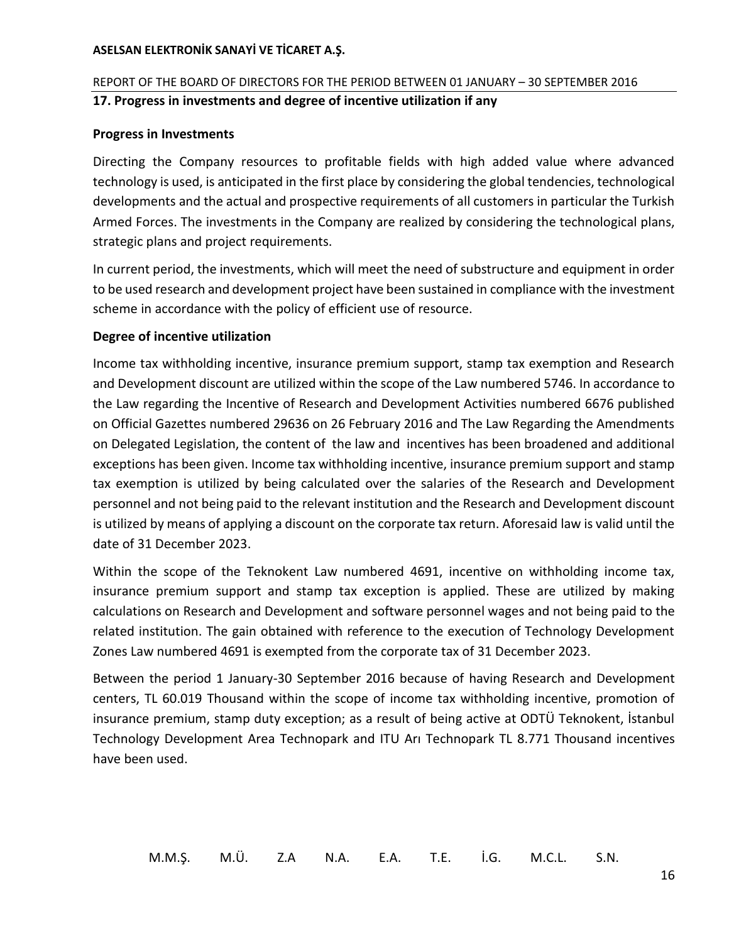# <span id="page-18-0"></span>REPORT OF THE BOARD OF DIRECTORS FOR THE PERIOD BETWEEN 01 JANUARY – 30 SEPTEMBER 2016 **17. Progress in investments and degree of incentive utilization if any**

### **Progress in Investments**

Directing the Company resources to profitable fields with high added value where advanced technology is used, is anticipated in the first place by considering the global tendencies, technological developments and the actual and prospective requirements of all customers in particular the Turkish Armed Forces. The investments in the Company are realized by considering the technological plans, strategic plans and project requirements.

In current period, the investments, which will meet the need of substructure and equipment in order to be used research and development project have been sustained in compliance with the investment scheme in accordance with the policy of efficient use of resource.

#### **Degree of incentive utilization**

Income tax withholding incentive, insurance premium support, stamp tax exemption and Research and Development discount are utilized within the scope of the Law numbered 5746. In accordance to the Law regarding the Incentive of Research and Development Activities numbered 6676 published on Official Gazettes numbered 29636 on 26 February 2016 and The Law Regarding the Amendments on Delegated Legislation, the content of the law and incentives has been broadened and additional exceptions has been given. Income tax withholding incentive, insurance premium support and stamp tax exemption is utilized by being calculated over the salaries of the Research and Development personnel and not being paid to the relevant institution and the Research and Development discount is utilized by means of applying a discount on the corporate tax return. Aforesaid law is valid until the date of 31 December 2023.

Within the scope of the Teknokent Law numbered 4691, incentive on withholding income tax, insurance premium support and stamp tax exception is applied. These are utilized by making calculations on Research and Development and software personnel wages and not being paid to the related institution. The gain obtained with reference to the execution of Technology Development Zones Law numbered 4691 is exempted from the corporate tax of 31 December 2023.

Between the period 1 January-30 September 2016 because of having Research and Development centers, TL 60.019 Thousand within the scope of income tax withholding incentive, promotion of insurance premium, stamp duty exception; as a result of being active at ODTÜ Teknokent, İstanbul Technology Development Area Technopark and ITU Arı Technopark TL 8.771 Thousand incentives have been used.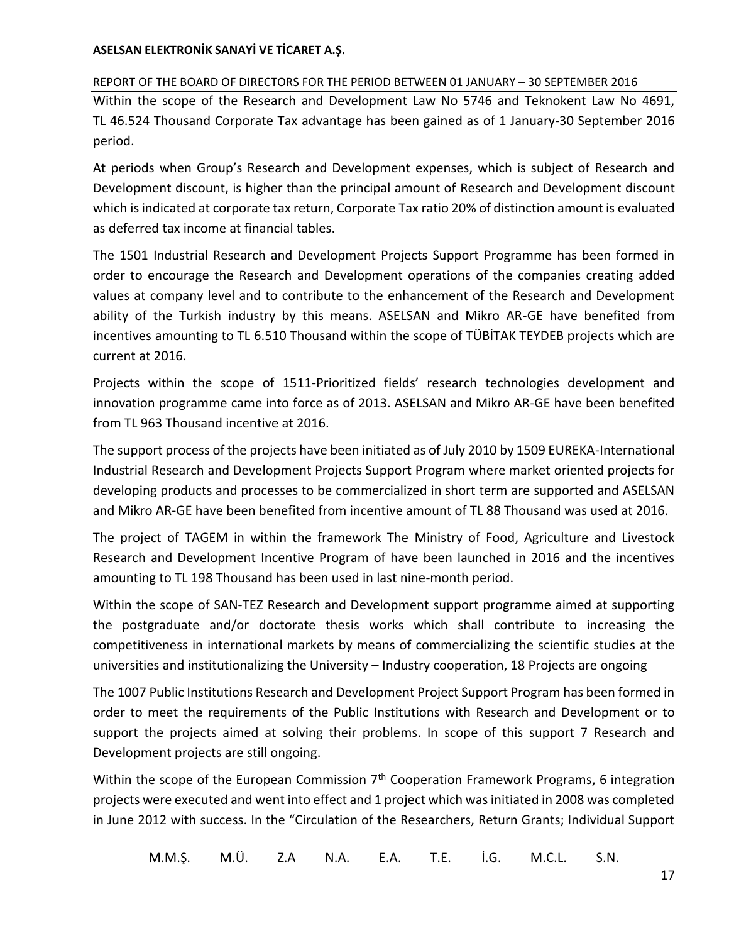# REPORT OF THE BOARD OF DIRECTORS FOR THE PERIOD BETWEEN 01 JANUARY – 30 SEPTEMBER 2016

Within the scope of the Research and Development Law No 5746 and Teknokent Law No 4691, TL 46.524 Thousand Corporate Tax advantage has been gained as of 1 January-30 September 2016 period.

At periods when Group's Research and Development expenses, which is subject of Research and Development discount, is higher than the principal amount of Research and Development discount which is indicated at corporate tax return, Corporate Tax ratio 20% of distinction amount is evaluated as deferred tax income at financial tables.

The 1501 Industrial Research and Development Projects Support Programme has been formed in order to encourage the Research and Development operations of the companies creating added values at company level and to contribute to the enhancement of the Research and Development ability of the Turkish industry by this means. ASELSAN and Mikro AR-GE have benefited from incentives amounting to TL 6.510 Thousand within the scope of TÜBİTAK TEYDEB projects which are current at 2016.

Projects within the scope of 1511-Prioritized fields' research technologies development and innovation programme came into force as of 2013. ASELSAN and Mikro AR-GE have been benefited from TL 963 Thousand incentive at 2016.

The support process of the projects have been initiated as of July 2010 by 1509 EUREKA-International Industrial Research and Development Projects Support Program where market oriented projects for developing products and processes to be commercialized in short term are supported and ASELSAN and Mikro AR-GE have been benefited from incentive amount of TL 88 Thousand was used at 2016.

The project of TAGEM in within the framework The Ministry of Food, Agriculture and Livestock Research and Development Incentive Program of have been launched in 2016 and the incentives amounting to TL 198 Thousand has been used in last nine-month period.

Within the scope of SAN-TEZ Research and Development support programme aimed at supporting the postgraduate and/or doctorate thesis works which shall contribute to increasing the competitiveness in international markets by means of commercializing the scientific studies at the universities and institutionalizing the University – Industry cooperation, 18 Projects are ongoing

The 1007 Public Institutions Research and Development Project Support Program has been formed in order to meet the requirements of the Public Institutions with Research and Development or to support the projects aimed at solving their problems. In scope of this support 7 Research and Development projects are still ongoing.

Within the scope of the European Commission 7<sup>th</sup> Cooperation Framework Programs, 6 integration projects were executed and went into effect and 1 project which was initiated in 2008 was completed in June 2012 with success. In the "Circulation of the Researchers, Return Grants; Individual Support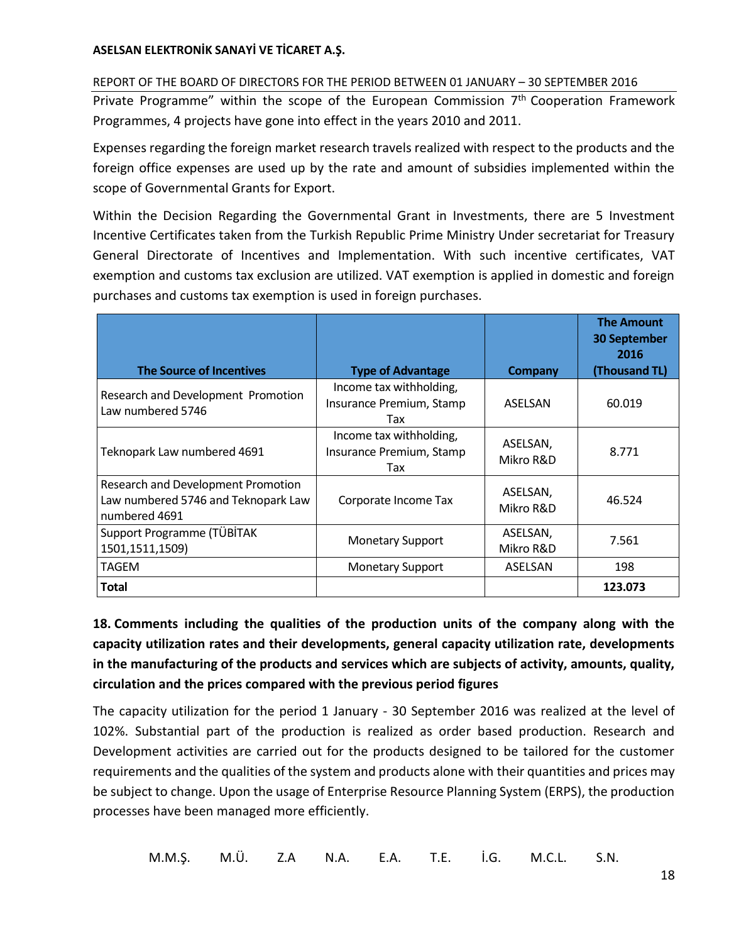# REPORT OF THE BOARD OF DIRECTORS FOR THE PERIOD BETWEEN 01 JANUARY – 30 SEPTEMBER 2016

Private Programme" within the scope of the European Commission 7<sup>th</sup> Cooperation Framework Programmes, 4 projects have gone into effect in the years 2010 and 2011.

Expenses regarding the foreign market research travels realized with respect to the products and the foreign office expenses are used up by the rate and amount of subsidies implemented within the scope of Governmental Grants for Export.

Within the Decision Regarding the Governmental Grant in Investments, there are 5 Investment Incentive Certificates taken from the Turkish Republic Prime Ministry Under secretariat for Treasury General Directorate of Incentives and Implementation. With such incentive certificates, VAT exemption and customs tax exclusion are utilized. VAT exemption is applied in domestic and foreign purchases and customs tax exemption is used in foreign purchases.

|                                                                                            |                                                            |                       | <b>The Amount</b><br><b>30 September</b><br>2016 |
|--------------------------------------------------------------------------------------------|------------------------------------------------------------|-----------------------|--------------------------------------------------|
| <b>The Source of Incentives</b>                                                            | <b>Type of Advantage</b>                                   | <b>Company</b>        | (Thousand TL)                                    |
| Research and Development Promotion<br>Law numbered 5746                                    | Income tax withholding,<br>Insurance Premium, Stamp<br>Tax | ASELSAN               | 60.019                                           |
| Teknopark Law numbered 4691                                                                | Income tax withholding,<br>Insurance Premium, Stamp<br>Tax | ASELSAN,<br>Mikro R&D | 8.771                                            |
| Research and Development Promotion<br>Law numbered 5746 and Teknopark Law<br>numbered 4691 | Corporate Income Tax                                       | ASELSAN,<br>Mikro R&D | 46.524                                           |
| Support Programme (TÜBİTAK<br>1501,1511,1509)                                              | <b>Monetary Support</b>                                    | ASELSAN,<br>Mikro R&D | 7.561                                            |
| TAGEM                                                                                      | <b>Monetary Support</b>                                    | ASELSAN               | 198                                              |
| Total                                                                                      |                                                            |                       | 123.073                                          |

<span id="page-20-0"></span>**18. Comments including the qualities of the production units of the company along with the capacity utilization rates and their developments, general capacity utilization rate, developments in the manufacturing of the products and services which are subjects of activity, amounts, quality, circulation and the prices compared with the previous period figures**

The capacity utilization for the period 1 January - 30 September 2016 was realized at the level of 102%. Substantial part of the production is realized as order based production. Research and Development activities are carried out for the products designed to be tailored for the customer requirements and the qualities of the system and products alone with their quantities and prices may be subject to change. Upon the usage of Enterprise Resource Planning System (ERPS), the production processes have been managed more efficiently.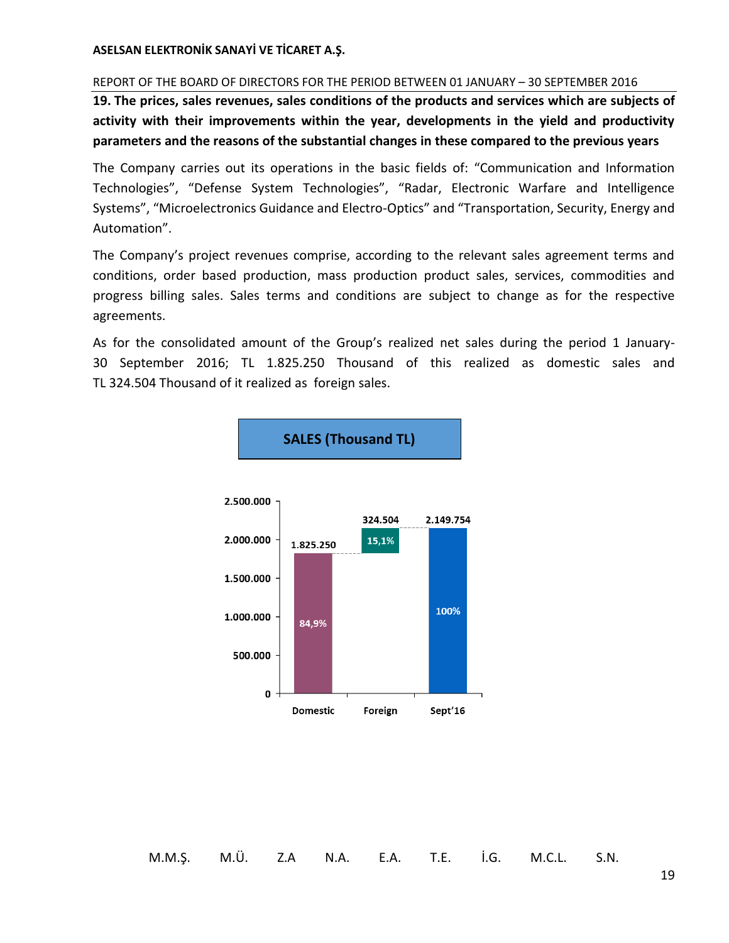#### REPORT OF THE BOARD OF DIRECTORS FOR THE PERIOD BETWEEN 01 JANUARY – 30 SEPTEMBER 2016

<span id="page-21-0"></span>**19. The prices, sales revenues, sales conditions of the products and services which are subjects of activity with their improvements within the year, developments in the yield and productivity parameters and the reasons of the substantial changes in these compared to the previous years**

The Company carries out its operations in the basic fields of: "Communication and Information Technologies", "Defense System Technologies", "Radar, Electronic Warfare and Intelligence Systems", "Microelectronics Guidance and Electro-Optics" and "Transportation, Security, Energy and Automation".

The Company's project revenues comprise, according to the relevant sales agreement terms and conditions, order based production, mass production product sales, services, commodities and progress billing sales. Sales terms and conditions are subject to change as for the respective agreements.

As for the consolidated amount of the Group's realized net sales during the period 1 January-30 September 2016; TL 1.825.250 Thousand of this realized as domestic sales and TL 324.504 Thousand of it realized as foreign sales.

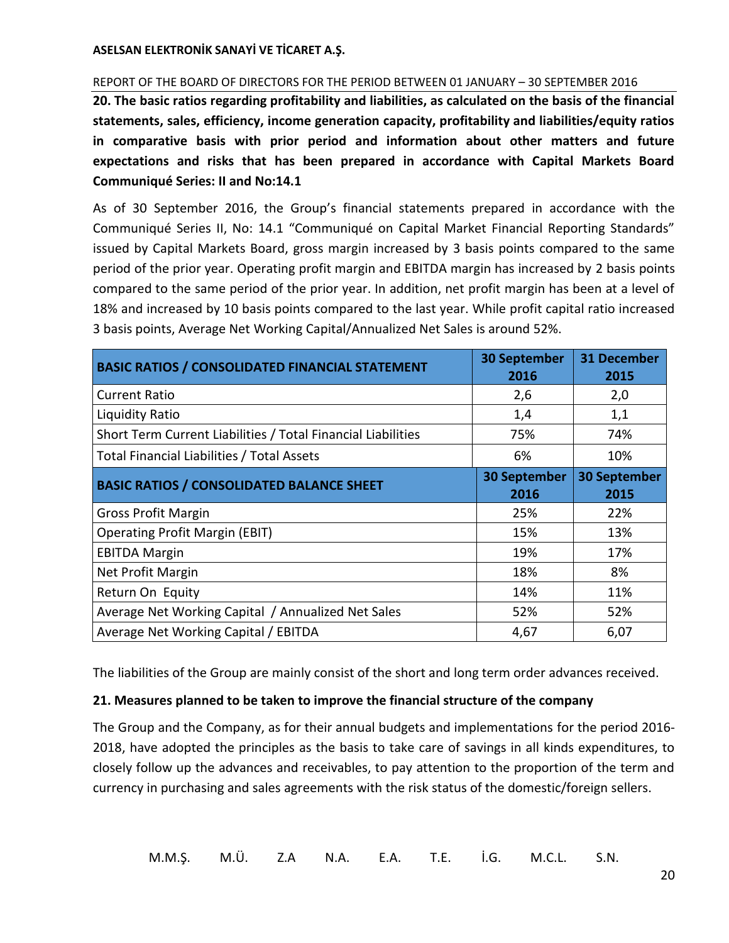#### REPORT OF THE BOARD OF DIRECTORS FOR THE PERIOD BETWEEN 01 JANUARY – 30 SEPTEMBER 2016

<span id="page-22-0"></span>**20. The basic ratios regarding profitability and liabilities, as calculated on the basis of the financial statements, sales, efficiency, income generation capacity, profitability and liabilities/equity ratios in comparative basis with prior period and information about other matters and future expectations and risks that has been prepared in accordance with Capital Markets Board Communiqué Series: II and No:14.1**

As of 30 September 2016, the Group's financial statements prepared in accordance with the Communiqué Series II, No: 14.1 "Communiqué on Capital Market Financial Reporting Standards" issued by Capital Markets Board, gross margin increased by 3 basis points compared to the same period of the prior year. Operating profit margin and EBITDA margin has increased by 2 basis points compared to the same period of the prior year. In addition, net profit margin has been at a level of 18% and increased by 10 basis points compared to the last year. While profit capital ratio increased 3 basis points, Average Net Working Capital/Annualized Net Sales is around 52%.

| <b>BASIC RATIOS / CONSOLIDATED FINANCIAL STATEMENT</b>       | <b>30 September</b><br>2016 | <b>31 December</b><br>2015  |
|--------------------------------------------------------------|-----------------------------|-----------------------------|
| <b>Current Ratio</b>                                         | 2,6                         | 2,0                         |
| <b>Liquidity Ratio</b>                                       | 1,4                         | 1,1                         |
| Short Term Current Liabilities / Total Financial Liabilities | 75%                         | 74%                         |
| <b>Total Financial Liabilities / Total Assets</b>            | 6%                          | 10%                         |
| <b>BASIC RATIOS / CONSOLIDATED BALANCE SHEET</b>             | <b>30 September</b><br>2016 | <b>30 September</b><br>2015 |
| <b>Gross Profit Margin</b>                                   | 25%                         | 22%                         |
| <b>Operating Profit Margin (EBIT)</b>                        | 15%                         | 13%                         |
| <b>EBITDA Margin</b>                                         | 19%                         | 17%                         |
| Net Profit Margin                                            | 18%                         | 8%                          |
| Return On Equity                                             | 14%                         | 11%                         |
| Average Net Working Capital / Annualized Net Sales           | 52%                         | 52%                         |
| Average Net Working Capital / EBITDA                         | 4,67                        | 6,07                        |

The liabilities of the Group are mainly consist of the short and long term order advances received.

#### <span id="page-22-1"></span>**21. Measures planned to be taken to improve the financial structure of the company**

The Group and the Company, as for their annual budgets and implementations for the period 2016- 2018, have adopted the principles as the basis to take care of savings in all kinds expenditures, to closely follow up the advances and receivables, to pay attention to the proportion of the term and currency in purchasing and sales agreements with the risk status of the domestic/foreign sellers.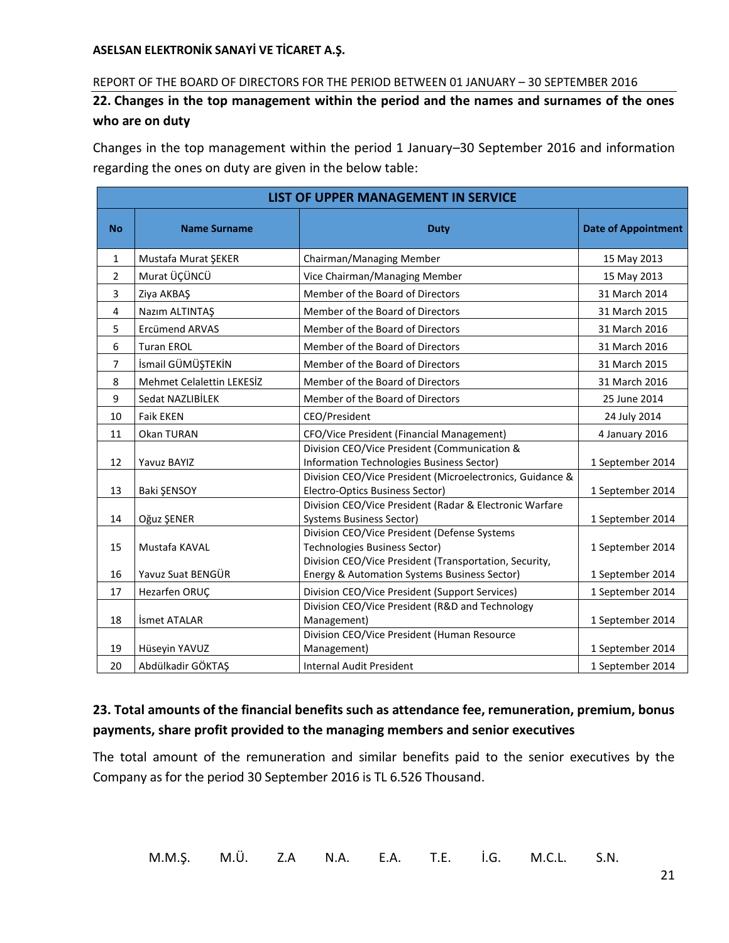#### REPORT OF THE BOARD OF DIRECTORS FOR THE PERIOD BETWEEN 01 JANUARY – 30 SEPTEMBER 2016

<span id="page-23-0"></span>**22. Changes in the top management within the period and the names and surnames of the ones who are on duty**

Changes in the top management within the period 1 January–30 September 2016 and information regarding the ones on duty are given in the below table:

|                | LIST OF UPPER MANAGEMENT IN SERVICE |                                                                                                                                         |                            |  |  |  |
|----------------|-------------------------------------|-----------------------------------------------------------------------------------------------------------------------------------------|----------------------------|--|--|--|
| <b>No</b>      | <b>Name Surname</b>                 | <b>Duty</b>                                                                                                                             | <b>Date of Appointment</b> |  |  |  |
| 1              | Mustafa Murat ŞEKER                 | Chairman/Managing Member                                                                                                                | 15 May 2013                |  |  |  |
| $\overline{2}$ | Murat ÜÇÜNCÜ                        | Vice Chairman/Managing Member                                                                                                           | 15 May 2013                |  |  |  |
| 3              | Ziya AKBAŞ                          | Member of the Board of Directors                                                                                                        | 31 March 2014              |  |  |  |
| 4              | Nazım ALTINTAŞ                      | Member of the Board of Directors                                                                                                        | 31 March 2015              |  |  |  |
| 5              | <b>Ercümend ARVAS</b>               | Member of the Board of Directors                                                                                                        | 31 March 2016              |  |  |  |
| 6              | <b>Turan EROL</b>                   | Member of the Board of Directors                                                                                                        | 31 March 2016              |  |  |  |
| $\overline{7}$ | İsmail GÜMÜŞTEKİN                   | Member of the Board of Directors                                                                                                        | 31 March 2015              |  |  |  |
| 8              | <b>Mehmet Celalettin LEKESİZ</b>    | Member of the Board of Directors                                                                                                        | 31 March 2016              |  |  |  |
| 9              | Sedat NAZLIBİLEK                    | Member of the Board of Directors                                                                                                        | 25 June 2014               |  |  |  |
| 10             | <b>Faik EKEN</b>                    | CEO/President                                                                                                                           | 24 July 2014               |  |  |  |
| 11             | Okan TURAN                          | CFO/Vice President (Financial Management)                                                                                               | 4 January 2016             |  |  |  |
| 12             | Yavuz BAYIZ                         | Division CEO/Vice President (Communication &<br>Information Technologies Business Sector)                                               | 1 September 2014           |  |  |  |
| 13             | Baki ŞENSOY                         | Division CEO/Vice President (Microelectronics, Guidance &<br>Electro-Optics Business Sector)                                            | 1 September 2014           |  |  |  |
| 14             | Oğuz ŞENER                          | Division CEO/Vice President (Radar & Electronic Warfare<br><b>Systems Business Sector)</b>                                              | 1 September 2014           |  |  |  |
| 15             | Mustafa KAVAL                       | Division CEO/Vice President (Defense Systems<br>Technologies Business Sector)<br>Division CEO/Vice President (Transportation, Security, | 1 September 2014           |  |  |  |
| 16             | Yavuz Suat BENGÜR                   | Energy & Automation Systems Business Sector)                                                                                            | 1 September 2014           |  |  |  |
| 17             | Hezarfen ORUÇ                       | Division CEO/Vice President (Support Services)                                                                                          | 1 September 2014           |  |  |  |
| 18             | İsmet ATALAR                        | Division CEO/Vice President (R&D and Technology<br>Management)                                                                          | 1 September 2014           |  |  |  |
| 19             | Hüseyin YAVUZ                       | Division CEO/Vice President (Human Resource<br>Management)                                                                              | 1 September 2014           |  |  |  |
| 20             | Abdülkadir GÖKTAŞ                   | <b>Internal Audit President</b>                                                                                                         | 1 September 2014           |  |  |  |

# <span id="page-23-1"></span>**23. Total amounts of the financial benefits such as attendance fee, remuneration, premium, bonus payments, share profit provided to the managing members and senior executives**

The total amount of the remuneration and similar benefits paid to the senior executives by the Company as for the period 30 September 2016 is TL 6.526 Thousand.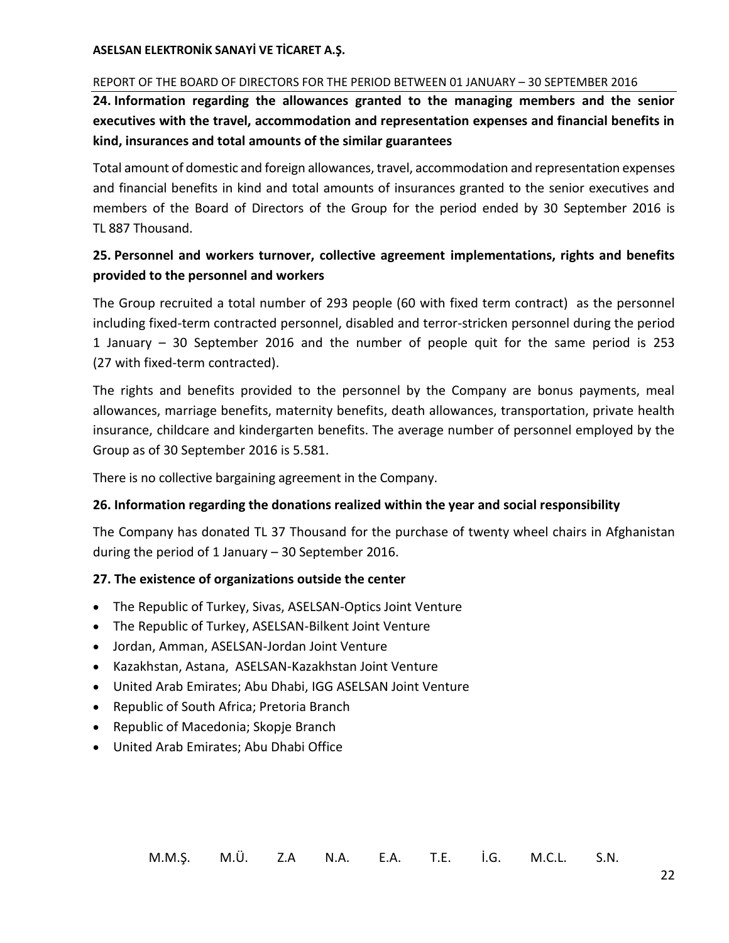#### REPORT OF THE BOARD OF DIRECTORS FOR THE PERIOD BETWEEN 01 JANUARY – 30 SEPTEMBER 2016

<span id="page-24-0"></span>**24. Information regarding the allowances granted to the managing members and the senior executives with the travel, accommodation and representation expenses and financial benefits in kind, insurances and total amounts of the similar guarantees**

Total amount of domestic and foreign allowances, travel, accommodation and representation expenses and financial benefits in kind and total amounts of insurances granted to the senior executives and members of the Board of Directors of the Group for the period ended by 30 September 2016 is TL 887 Thousand.

# <span id="page-24-1"></span>**25. Personnel and workers turnover, collective agreement implementations, rights and benefits provided to the personnel and workers**

The Group recruited a total number of 293 people (60 with fixed term contract) as the personnel including fixed-term contracted personnel, disabled and terror-stricken personnel during the period 1 January – 30 September 2016 and the number of people quit for the same period is 253 (27 with fixed-term contracted).

The rights and benefits provided to the personnel by the Company are bonus payments, meal allowances, marriage benefits, maternity benefits, death allowances, transportation, private health insurance, childcare and kindergarten benefits. The average number of personnel employed by the Group as of 30 September 2016 is 5.581.

There is no collective bargaining agreement in the Company.

#### <span id="page-24-2"></span>**26. Information regarding the donations realized within the year and social responsibility**

The Company has donated TL 37 Thousand for the purchase of twenty wheel chairs in Afghanistan during the period of 1 January – 30 September 2016.

# <span id="page-24-3"></span>**27. The existence of organizations outside the center**

- The Republic of Turkey, Sivas, ASELSAN-Optics Joint Venture
- The Republic of Turkey, ASELSAN-Bilkent Joint Venture
- Jordan, Amman, ASELSAN-Jordan Joint Venture
- Kazakhstan, Astana, ASELSAN-Kazakhstan Joint Venture
- United Arab Emirates; Abu Dhabi, IGG ASELSAN Joint Venture
- Republic of South Africa; Pretoria Branch
- Republic of Macedonia; Skopje Branch
- United Arab Emirates; Abu Dhabi Office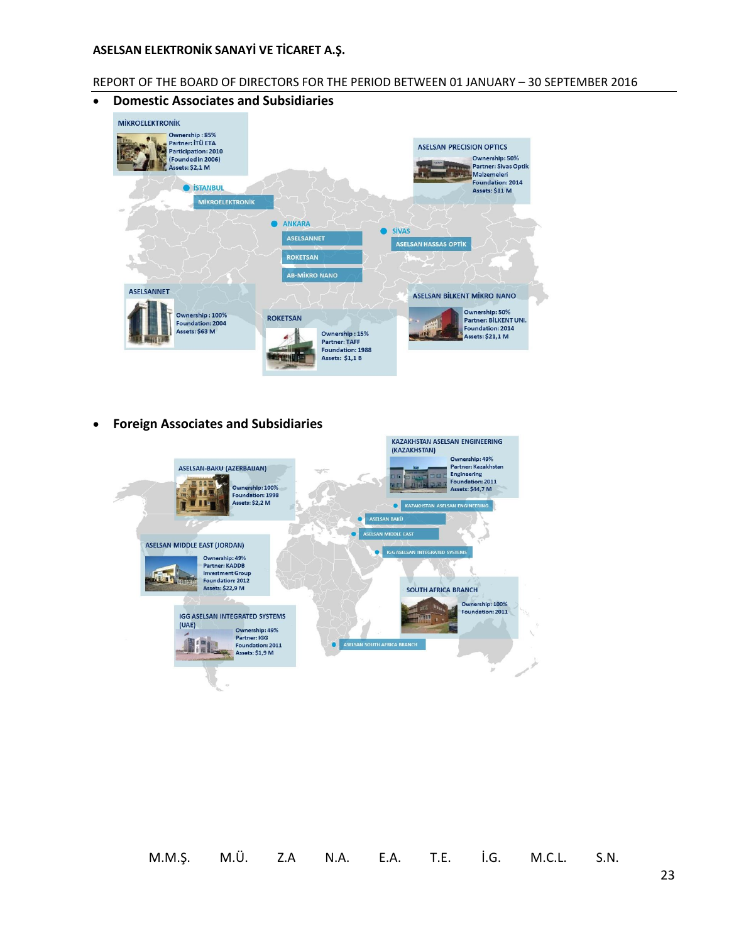#### REPORT OF THE BOARD OF DIRECTORS FOR THE PERIOD BETWEEN 01 JANUARY – 30 SEPTEMBER 2016

**Domestic Associates and Subsidiaries**



**Foreign Associates and Subsidiaries**

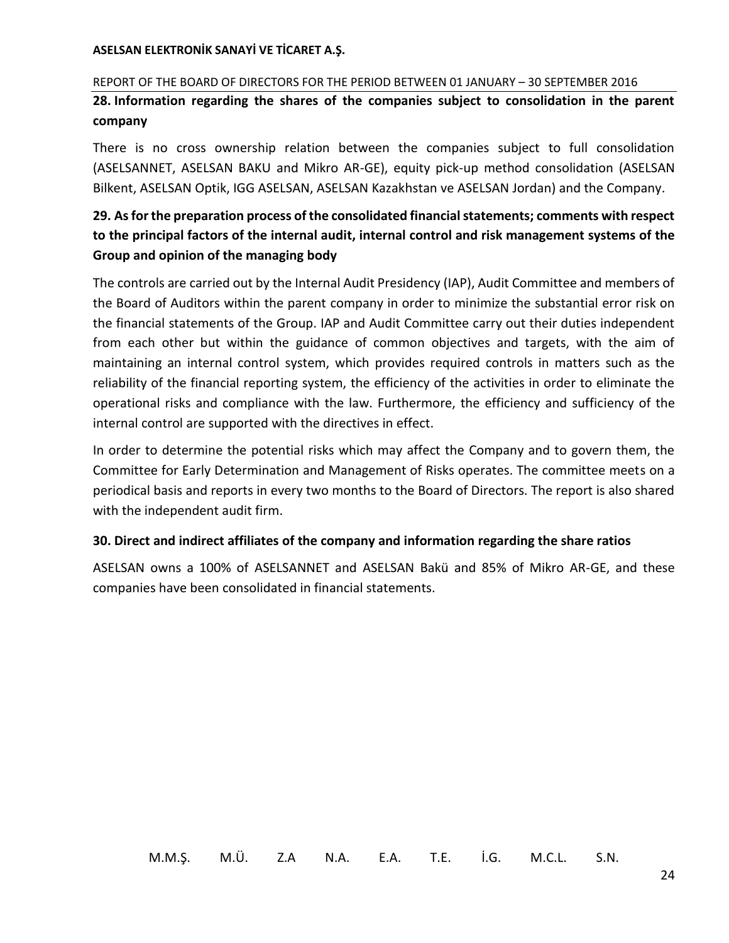#### REPORT OF THE BOARD OF DIRECTORS FOR THE PERIOD BETWEEN 01 JANUARY – 30 SEPTEMBER 2016

<span id="page-26-0"></span>**28. Information regarding the shares of the companies subject to consolidation in the parent company**

There is no cross ownership relation between the companies subject to full consolidation (ASELSANNET, ASELSAN BAKU and Mikro AR-GE), equity pick-up method consolidation (ASELSAN Bilkent, ASELSAN Optik, IGG ASELSAN, ASELSAN Kazakhstan ve ASELSAN Jordan) and the Company.

# <span id="page-26-1"></span>**29. As for the preparation process of the consolidated financial statements; comments with respect to the principal factors of the internal audit, internal control and risk management systems of the Group and opinion of the managing body**

The controls are carried out by the Internal Audit Presidency (IAP), Audit Committee and members of the Board of Auditors within the parent company in order to minimize the substantial error risk on the financial statements of the Group. IAP and Audit Committee carry out their duties independent from each other but within the guidance of common objectives and targets, with the aim of maintaining an internal control system, which provides required controls in matters such as the reliability of the financial reporting system, the efficiency of the activities in order to eliminate the operational risks and compliance with the law. Furthermore, the efficiency and sufficiency of the internal control are supported with the directives in effect.

In order to determine the potential risks which may affect the Company and to govern them, the Committee for Early Determination and Management of Risks operates. The committee meets on a periodical basis and reports in every two months to the Board of Directors. The report is also shared with the independent audit firm.

#### <span id="page-26-2"></span>**30. Direct and indirect affiliates of the company and information regarding the share ratios**

ASELSAN owns a 100% of ASELSANNET and ASELSAN Bakü and 85% of Mikro AR-GE, and these companies have been consolidated in financial statements.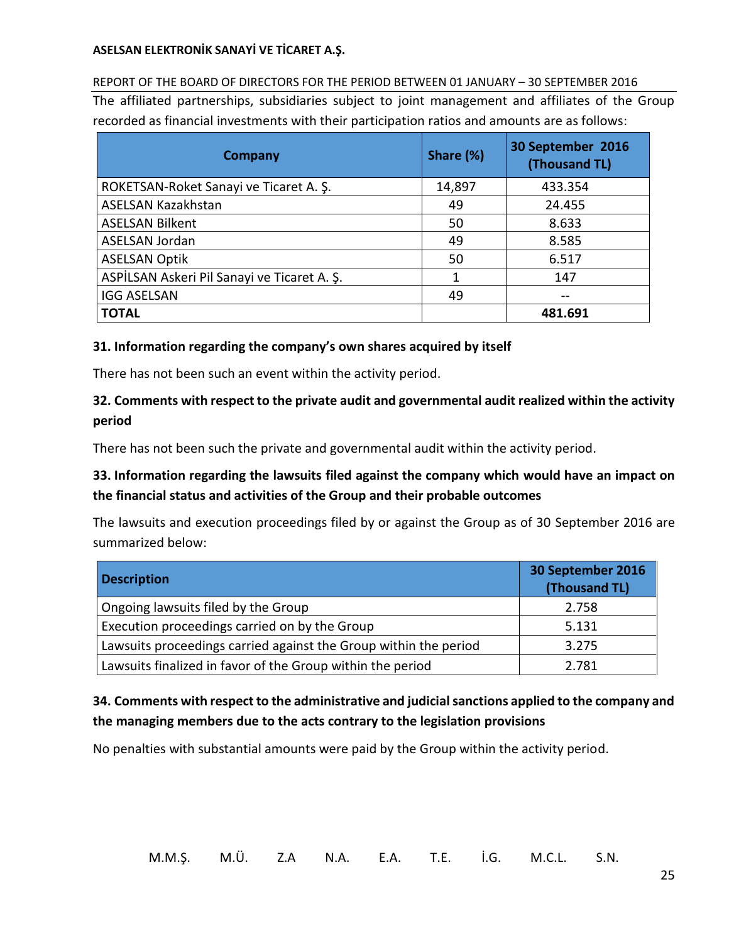REPORT OF THE BOARD OF DIRECTORS FOR THE PERIOD BETWEEN 01 JANUARY – 30 SEPTEMBER 2016 The affiliated partnerships, subsidiaries subject to joint management and affiliates of the Group recorded as financial investments with their participation ratios and amounts are as follows:

| <b>Company</b>                              | Share (%) | 30 September 2016<br>(Thousand TL) |
|---------------------------------------------|-----------|------------------------------------|
| ROKETSAN-Roket Sanayi ve Ticaret A. S.      | 14,897    | 433.354                            |
| ASELSAN Kazakhstan                          | 49        | 24.455                             |
| <b>ASELSAN Bilkent</b>                      | 50        | 8.633                              |
| ASELSAN Jordan                              | 49        | 8.585                              |
| <b>ASELSAN Optik</b>                        | 50        | 6.517                              |
| ASPİLSAN Askeri Pil Sanayi ve Ticaret A. Ş. |           | 147                                |
| <b>IGG ASELSAN</b>                          | 49        |                                    |
| <b>TOTAL</b>                                |           | 481.691                            |

### <span id="page-27-0"></span>**31. Information regarding the company's own shares acquired by itself**

There has not been such an event within the activity period.

# <span id="page-27-1"></span>**32. Comments with respect to the private audit and governmental audit realized within the activity period**

There has not been such the private and governmental audit within the activity period.

# <span id="page-27-2"></span>**33. Information regarding the lawsuits filed against the company which would have an impact on the financial status and activities of the Group and their probable outcomes**

The lawsuits and execution proceedings filed by or against the Group as of 30 September 2016 are summarized below:

| <b>Description</b>                                               | 30 September 2016<br>(Thousand TL) |
|------------------------------------------------------------------|------------------------------------|
| Ongoing lawsuits filed by the Group                              | 2.758                              |
| Execution proceedings carried on by the Group                    | 5.131                              |
| Lawsuits proceedings carried against the Group within the period | 3.275                              |
| Lawsuits finalized in favor of the Group within the period       | 2.781                              |

# <span id="page-27-3"></span>**34. Comments with respect to the administrative and judicial sanctions applied to the company and the managing members due to the acts contrary to the legislation provisions**

No penalties with substantial amounts were paid by the Group within the activity period.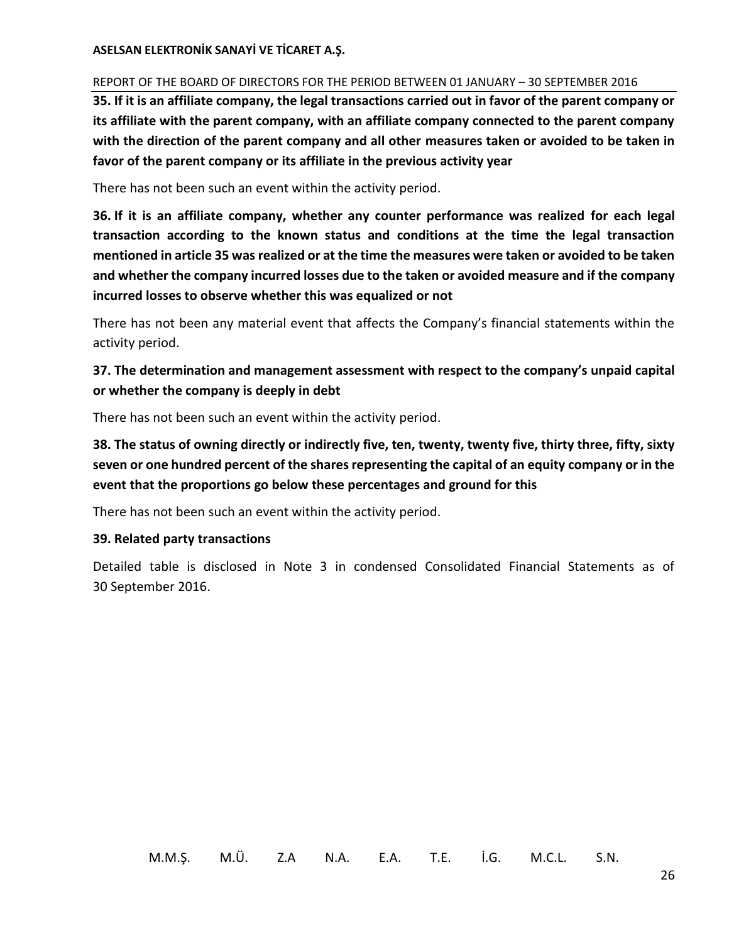#### REPORT OF THE BOARD OF DIRECTORS FOR THE PERIOD BETWEEN 01 JANUARY – 30 SEPTEMBER 2016

<span id="page-28-0"></span>**35. If it is an affiliate company, the legal transactions carried out in favor of the parent company or its affiliate with the parent company, with an affiliate company connected to the parent company with the direction of the parent company and all other measures taken or avoided to be taken in favor of the parent company or its affiliate in the previous activity year**

There has not been such an event within the activity period.

<span id="page-28-1"></span>**36. If it is an affiliate company, whether any counter performance was realized for each legal transaction according to the known status and conditions at the time the legal transaction mentioned in article 35 was realized or at the time the measures were taken or avoided to be taken and whether the company incurred losses due to the taken or avoided measure and if the company incurred losses to observe whether this was equalized or not**

There has not been any material event that affects the Company's financial statements within the activity period.

# <span id="page-28-2"></span>**37. The determination and management assessment with respect to the company's unpaid capital or whether the company is deeply in debt**

There has not been such an event within the activity period.

<span id="page-28-3"></span>**38. The status of owning directly or indirectly five, ten, twenty, twenty five, thirty three, fifty, sixty seven or one hundred percent of the shares representing the capital of an equity company or in the event that the proportions go below these percentages and ground for this**

There has not been such an event within the activity period.

# <span id="page-28-4"></span>**39. Related party transactions**

Detailed table is disclosed in Note 3 in condensed Consolidated Financial Statements as of 30 September 2016.